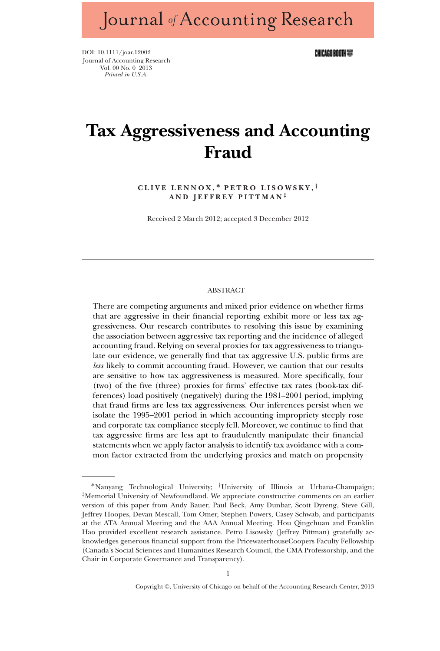Journal of Accounting Research

DOI: 10.1111/joar.12002 Journal of Accounting Research Vol. 00 No. 0 2013 *Printed in U.S.A.*

CHICAGO BOOTH WE

# **Tax Aggressiveness and Accounting Fraud**

**CLIVE LENNOX, ∗ PETRO LISOWSKY,** *†* **AND JEFFREY PITTMAN** *‡*

Received 2 March 2012; accepted 3 December 2012

#### ABSTRACT

There are competing arguments and mixed prior evidence on whether firms that are aggressive in their financial reporting exhibit more or less tax aggressiveness. Our research contributes to resolving this issue by examining the association between aggressive tax reporting and the incidence of alleged accounting fraud. Relying on several proxies for tax aggressiveness to triangulate our evidence, we generally find that tax aggressive U.S. public firms are *less* likely to commit accounting fraud. However, we caution that our results are sensitive to how tax aggressiveness is measured. More specifically, four (two) of the five (three) proxies for firms' effective tax rates (book-tax differences) load positively (negatively) during the 1981–2001 period, implying that fraud firms are less tax aggressiveness. Our inferences persist when we isolate the 1995–2001 period in which accounting impropriety steeply rose and corporate tax compliance steeply fell. Moreover, we continue to find that tax aggressive firms are less apt to fraudulently manipulate their financial statements when we apply factor analysis to identify tax avoidance with a common factor extracted from the underlying proxies and match on propensity

<sup>∗</sup>Nanyang Technological University; *†*University of Illinois at Urbana-Champaign; *‡*Memorial University of Newfoundland. We appreciate constructive comments on an earlier version of this paper from Andy Bauer, Paul Beck, Amy Dunbar, Scott Dyreng, Steve Gill, Jeffrey Hoopes, Devan Mescall, Tom Omer, Stephen Powers, Casey Schwab, and participants at the ATA Annual Meeting and the AAA Annual Meeting. Hou Qingchuan and Franklin Hao provided excellent research assistance. Petro Lisowsky (Jeffrey Pittman) gratefully acknowledges generous financial support from the PricewaterhouseCoopers Faculty Fellowship (Canada's Social Sciences and Humanities Research Council, the CMA Professorship, and the Chair in Corporate Governance and Transparency).

Copyright ©, University of Chicago on behalf of the Accounting Research Center, 2013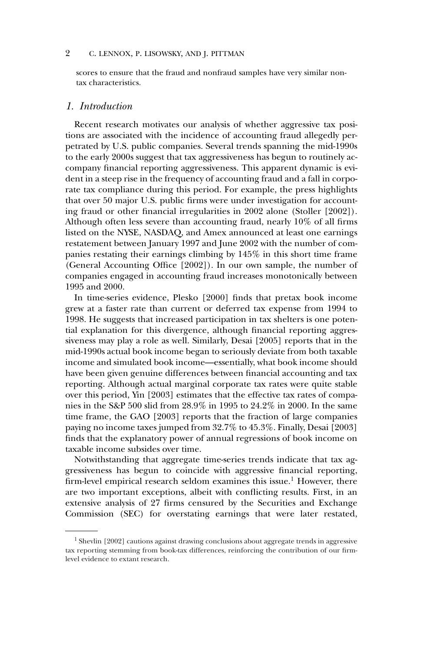scores to ensure that the fraud and nonfraud samples have very similar nontax characteristics.

## *1. Introduction*

Recent research motivates our analysis of whether aggressive tax positions are associated with the incidence of accounting fraud allegedly perpetrated by U.S. public companies. Several trends spanning the mid-1990s to the early 2000s suggest that tax aggressiveness has begun to routinely accompany financial reporting aggressiveness. This apparent dynamic is evident in a steep rise in the frequency of accounting fraud and a fall in corporate tax compliance during this period. For example, the press highlights that over 50 major U.S. public firms were under investigation for accounting fraud or other financial irregularities in 2002 alone (Stoller [2002]). Although often less severe than accounting fraud, nearly 10% of all firms listed on the NYSE, NASDAQ, and Amex announced at least one earnings restatement between January 1997 and June 2002 with the number of companies restating their earnings climbing by 145% in this short time frame (General Accounting Office [2002]). In our own sample, the number of companies engaged in accounting fraud increases monotonically between 1995 and 2000.

In time-series evidence, Plesko [2000] finds that pretax book income grew at a faster rate than current or deferred tax expense from 1994 to 1998. He suggests that increased participation in tax shelters is one potential explanation for this divergence, although financial reporting aggressiveness may play a role as well. Similarly, Desai [2005] reports that in the mid-1990s actual book income began to seriously deviate from both taxable income and simulated book income—essentially, what book income should have been given genuine differences between financial accounting and tax reporting. Although actual marginal corporate tax rates were quite stable over this period, Yin [2003] estimates that the effective tax rates of companies in the S&P 500 slid from 28.9% in 1995 to 24.2% in 2000. In the same time frame, the GAO [2003] reports that the fraction of large companies paying no income taxes jumped from 32.7% to 45.3%. Finally, Desai [2003] finds that the explanatory power of annual regressions of book income on taxable income subsides over time.

Notwithstanding that aggregate time-series trends indicate that tax aggressiveness has begun to coincide with aggressive financial reporting, firm-level empirical research seldom examines this issue.<sup>1</sup> However, there are two important exceptions, albeit with conflicting results. First, in an extensive analysis of 27 firms censured by the Securities and Exchange Commission (SEC) for overstating earnings that were later restated,

 $1$  Shevlin [2002] cautions against drawing conclusions about aggregate trends in aggressive tax reporting stemming from book-tax differences, reinforcing the contribution of our firmlevel evidence to extant research.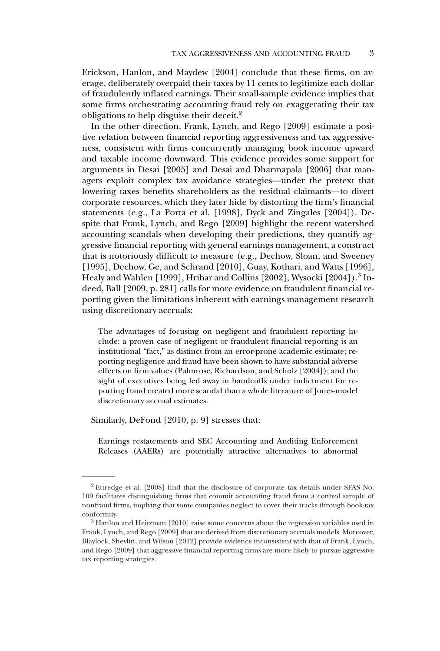Erickson, Hanlon, and Maydew [2004] conclude that these firms, on average, deliberately overpaid their taxes by 11 cents to legitimize each dollar of fraudulently inflated earnings. Their small-sample evidence implies that some firms orchestrating accounting fraud rely on exaggerating their tax obligations to help disguise their deceit.<sup>2</sup>

In the other direction, Frank, Lynch, and Rego [2009] estimate a positive relation between financial reporting aggressiveness and tax aggressiveness, consistent with firms concurrently managing book income upward and taxable income downward. This evidence provides some support for arguments in Desai [2005] and Desai and Dharmapala [2006] that managers exploit complex tax avoidance strategies—under the pretext that lowering taxes benefits shareholders as the residual claimants—to divert corporate resources, which they later hide by distorting the firm's financial statements (e.g., La Porta et al. [1998], Dyck and Zingales [2004]). Despite that Frank, Lynch, and Rego [2009] highlight the recent watershed accounting scandals when developing their predictions, they quantify aggressive financial reporting with general earnings management, a construct that is notoriously difficult to measure (e.g., Dechow, Sloan, and Sweeney [1995], Dechow, Ge, and Schrand [2010], Guay, Kothari, and Watts [1996], Healy and Wahlen [1999], Hribar and Collins [2002], Wysocki [2004]).<sup>3</sup> Indeed, Ball [2009, p. 281] calls for more evidence on fraudulent financial reporting given the limitations inherent with earnings management research using discretionary accruals:

The advantages of focusing on negligent and fraudulent reporting include: a proven case of negligent or fraudulent financial reporting is an institutional "fact," as distinct from an error-prone academic estimate; reporting negligence and fraud have been shown to have substantial adverse effects on firm values (Palmrose, Richardson, and Scholz [2004]); and the sight of executives being led away in handcuffs under indictment for reporting fraud created more scandal than a whole literature of Jones-model discretionary accrual estimates.

Similarly, DeFond [2010, p. 9] stresses that:

Earnings restatements and SEC Accounting and Auditing Enforcement Releases (AAERs) are potentially attractive alternatives to abnormal

<sup>2</sup> Ettredge et al. [2008] find that the disclosure of corporate tax details under SFAS No. 109 facilitates distinguishing firms that commit accounting fraud from a control sample of nonfraud firms, implying that some companies neglect to cover their tracks through book-tax conformity.

 $3$  Hanlon and Heitzman [2010] raise some concerns about the regression variables used in Frank, Lynch, and Rego [2009] that are derived from discretionary accruals models. Moreover, Blaylock, Shevlin, and Wilson [2012] provide evidence inconsistent with that of Frank, Lynch, and Rego [2009] that aggressive financial reporting firms are more likely to pursue aggressive tax reporting strategies.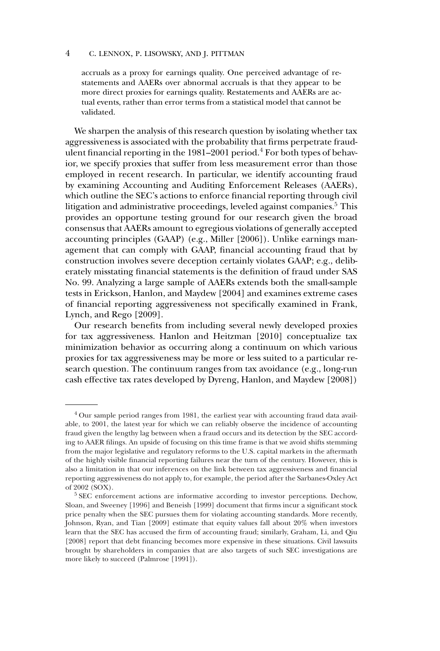accruals as a proxy for earnings quality. One perceived advantage of restatements and AAERs over abnormal accruals is that they appear to be more direct proxies for earnings quality. Restatements and AAERs are actual events, rather than error terms from a statistical model that cannot be validated.

We sharpen the analysis of this research question by isolating whether tax aggressiveness is associated with the probability that firms perpetrate fraudulent financial reporting in the 1981–2001 period.<sup>4</sup> For both types of behavior, we specify proxies that suffer from less measurement error than those employed in recent research. In particular, we identify accounting fraud by examining Accounting and Auditing Enforcement Releases (AAERs), which outline the SEC's actions to enforce financial reporting through civil litigation and administrative proceedings, leveled against companies.<sup>5</sup> This provides an opportune testing ground for our research given the broad consensus that AAERs amount to egregious violations of generally accepted accounting principles (GAAP) (e.g., Miller [2006]). Unlike earnings management that can comply with GAAP, financial accounting fraud that by construction involves severe deception certainly violates GAAP; e.g., deliberately misstating financial statements is the definition of fraud under SAS No. 99. Analyzing a large sample of AAERs extends both the small-sample tests in Erickson, Hanlon, and Maydew [2004] and examines extreme cases of financial reporting aggressiveness not specifically examined in Frank, Lynch, and Rego [2009].

Our research benefits from including several newly developed proxies for tax aggressiveness. Hanlon and Heitzman [2010] conceptualize tax minimization behavior as occurring along a continuum on which various proxies for tax aggressiveness may be more or less suited to a particular research question. The continuum ranges from tax avoidance (e.g., long-run cash effective tax rates developed by Dyreng, Hanlon, and Maydew [2008])

<sup>&</sup>lt;sup>4</sup> Our sample period ranges from 1981, the earliest year with accounting fraud data available, to 2001, the latest year for which we can reliably observe the incidence of accounting fraud given the lengthy lag between when a fraud occurs and its detection by the SEC according to AAER filings. An upside of focusing on this time frame is that we avoid shifts stemming from the major legislative and regulatory reforms to the U.S. capital markets in the aftermath of the highly visible financial reporting failures near the turn of the century. However, this is also a limitation in that our inferences on the link between tax aggressiveness and financial reporting aggressiveness do not apply to, for example, the period after the Sarbanes-Oxley Act of 2002 (SOX).

<sup>5</sup> SEC enforcement actions are informative according to investor perceptions. Dechow, Sloan, and Sweeney [1996] and Beneish [1999] document that firms incur a significant stock price penalty when the SEC pursues them for violating accounting standards. More recently, Johnson, Ryan, and Tian [2009] estimate that equity values fall about 20% when investors learn that the SEC has accused the firm of accounting fraud; similarly, Graham, Li, and Qiu [2008] report that debt financing becomes more expensive in these situations. Civil lawsuits brought by shareholders in companies that are also targets of such SEC investigations are more likely to succeed (Palmrose [1991]).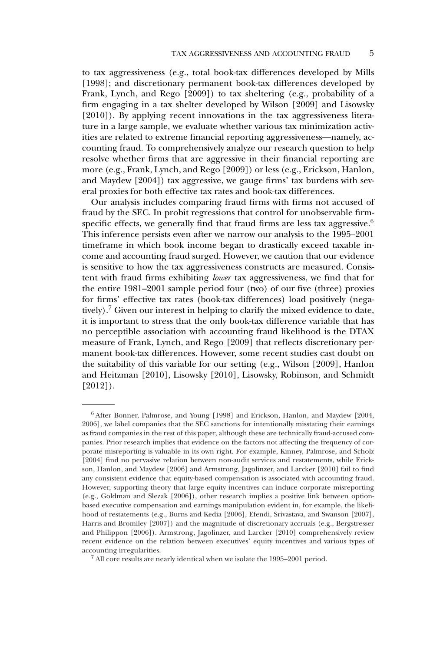to tax aggressiveness (e.g., total book-tax differences developed by Mills [1998]; and discretionary permanent book-tax differences developed by Frank, Lynch, and Rego [2009]) to tax sheltering (e.g., probability of a firm engaging in a tax shelter developed by Wilson [2009] and Lisowsky [2010]). By applying recent innovations in the tax aggressiveness literature in a large sample, we evaluate whether various tax minimization activities are related to extreme financial reporting aggressiveness—namely, accounting fraud. To comprehensively analyze our research question to help resolve whether firms that are aggressive in their financial reporting are more (e.g., Frank, Lynch, and Rego [2009]) or less (e.g., Erickson, Hanlon, and Maydew [2004]) tax aggressive, we gauge firms' tax burdens with several proxies for both effective tax rates and book-tax differences.

Our analysis includes comparing fraud firms with firms not accused of fraud by the SEC. In probit regressions that control for unobservable firmspecific effects, we generally find that fraud firms are less tax aggressive.<sup>6</sup> This inference persists even after we narrow our analysis to the 1995–2001 timeframe in which book income began to drastically exceed taxable income and accounting fraud surged. However, we caution that our evidence is sensitive to how the tax aggressiveness constructs are measured. Consistent with fraud firms exhibiting *lower* tax aggressiveness, we find that for the entire 1981–2001 sample period four (two) of our five (three) proxies for firms' effective tax rates (book-tax differences) load positively (negatively).<sup>7</sup> Given our interest in helping to clarify the mixed evidence to date, it is important to stress that the only book-tax difference variable that has no perceptible association with accounting fraud likelihood is the DTAX measure of Frank, Lynch, and Rego [2009] that reflects discretionary permanent book-tax differences. However, some recent studies cast doubt on the suitability of this variable for our setting (e.g., Wilson [2009], Hanlon and Heitzman [2010], Lisowsky [2010], Lisowsky, Robinson, and Schmidt [2012]).

<sup>6</sup> After Bonner, Palmrose, and Young [1998] and Erickson, Hanlon, and Maydew [2004, 2006], we label companies that the SEC sanctions for intentionally misstating their earnings as fraud companies in the rest of this paper, although these are technically fraud-accused companies. Prior research implies that evidence on the factors not affecting the frequency of corporate misreporting is valuable in its own right. For example, Kinney, Palmrose, and Scholz [2004] find no pervasive relation between non-audit services and restatements, while Erickson, Hanlon, and Maydew [2006] and Armstrong, Jagolinzer, and Larcker [2010] fail to find any consistent evidence that equity-based compensation is associated with accounting fraud. However, supporting theory that large equity incentives can induce corporate misreporting (e.g., Goldman and Slezak [2006]), other research implies a positive link between optionbased executive compensation and earnings manipulation evident in, for example, the likelihood of restatements (e.g., Burns and Kedia [2006], Efendi, Srivastava, and Swanson [2007], Harris and Bromiley [2007]) and the magnitude of discretionary accruals (e.g., Bergstresser and Philippon [2006]). Armstrong, Jagolinzer, and Larcker [2010] comprehensively review recent evidence on the relation between executives' equity incentives and various types of accounting irregularities.

<sup>7</sup> All core results are nearly identical when we isolate the 1995–2001 period.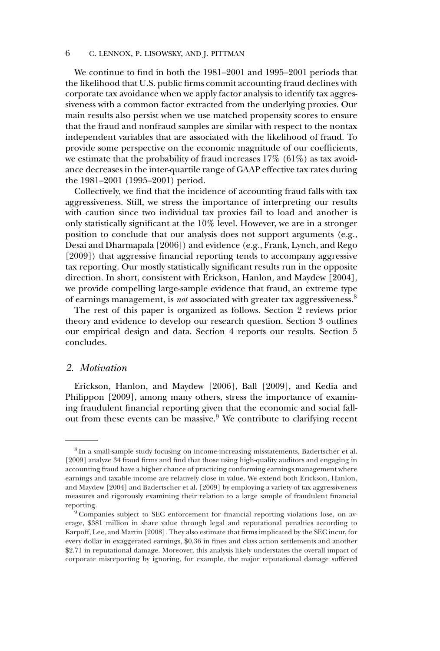We continue to find in both the 1981–2001 and 1995–2001 periods that the likelihood that U.S. public firms commit accounting fraud declines with corporate tax avoidance when we apply factor analysis to identify tax aggressiveness with a common factor extracted from the underlying proxies. Our main results also persist when we use matched propensity scores to ensure that the fraud and nonfraud samples are similar with respect to the nontax independent variables that are associated with the likelihood of fraud. To provide some perspective on the economic magnitude of our coefficients, we estimate that the probability of fraud increases  $17\%$  (61%) as tax avoidance decreases in the inter-quartile range of GAAP effective tax rates during the 1981–2001 (1995–2001) period.

Collectively, we find that the incidence of accounting fraud falls with tax aggressiveness. Still, we stress the importance of interpreting our results with caution since two individual tax proxies fail to load and another is only statistically significant at the 10% level. However, we are in a stronger position to conclude that our analysis does not support arguments (e.g., Desai and Dharmapala [2006]) and evidence (e.g., Frank, Lynch, and Rego [2009]) that aggressive financial reporting tends to accompany aggressive tax reporting. Our mostly statistically significant results run in the opposite direction. In short, consistent with Erickson, Hanlon, and Maydew [2004], we provide compelling large-sample evidence that fraud, an extreme type of earnings management, is *not* associated with greater tax aggressiveness.8

The rest of this paper is organized as follows. Section 2 reviews prior theory and evidence to develop our research question. Section 3 outlines our empirical design and data. Section 4 reports our results. Section 5 concludes.

## *2. Motivation*

Erickson, Hanlon, and Maydew [2006], Ball [2009], and Kedia and Philippon [2009], among many others, stress the importance of examining fraudulent financial reporting given that the economic and social fallout from these events can be massive.<sup>9</sup> We contribute to clarifying recent

<sup>8</sup> In a small-sample study focusing on income-increasing misstatements, Badertscher et al. [2009] analyze 34 fraud firms and find that those using high-quality auditors and engaging in accounting fraud have a higher chance of practicing conforming earnings management where earnings and taxable income are relatively close in value. We extend both Erickson, Hanlon, and Maydew [2004] and Badertscher et al. [2009] by employing a variety of tax aggressiveness measures and rigorously examining their relation to a large sample of fraudulent financial reporting.

<sup>&</sup>lt;sup>9</sup> Companies subject to SEC enforcement for financial reporting violations lose, on average, \$381 million in share value through legal and reputational penalties according to Karpoff, Lee, and Martin [2008]. They also estimate that firms implicated by the SEC incur, for every dollar in exaggerated earnings, \$0.36 in fines and class action settlements and another \$2.71 in reputational damage. Moreover, this analysis likely understates the overall impact of corporate misreporting by ignoring, for example, the major reputational damage suffered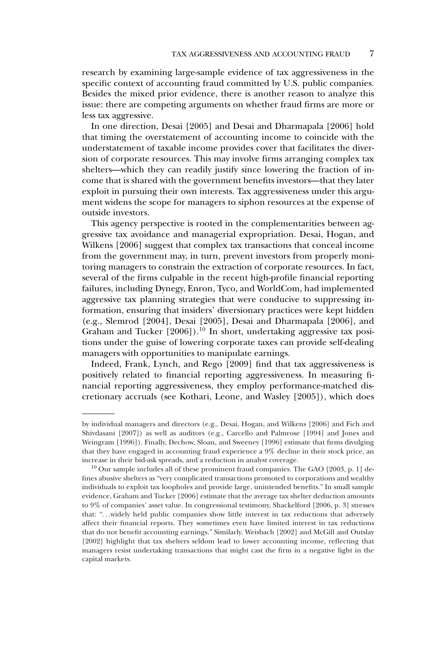research by examining large-sample evidence of tax aggressiveness in the specific context of accounting fraud committed by U.S. public companies. Besides the mixed prior evidence, there is another reason to analyze this issue: there are competing arguments on whether fraud firms are more or less tax aggressive.

In one direction, Desai [2005] and Desai and Dharmapala [2006] hold that timing the overstatement of accounting income to coincide with the understatement of taxable income provides cover that facilitates the diversion of corporate resources. This may involve firms arranging complex tax shelters—which they can readily justify since lowering the fraction of income that is shared with the government benefits investors—that they later exploit in pursuing their own interests. Tax aggressiveness under this argument widens the scope for managers to siphon resources at the expense of outside investors.

This agency perspective is rooted in the complementarities between aggressive tax avoidance and managerial expropriation. Desai, Hogan, and Wilkens [2006] suggest that complex tax transactions that conceal income from the government may, in turn, prevent investors from properly monitoring managers to constrain the extraction of corporate resources. In fact, several of the firms culpable in the recent high-profile financial reporting failures, including Dynegy, Enron, Tyco, and WorldCom, had implemented aggressive tax planning strategies that were conducive to suppressing information, ensuring that insiders' diversionary practices were kept hidden (e.g., Slemrod [2004], Desai [2005], Desai and Dharmapala [2006], and Graham and Tucker  $[2006]$ .<sup>10</sup> In short, undertaking aggressive tax positions under the guise of lowering corporate taxes can provide self-dealing managers with opportunities to manipulate earnings.

Indeed, Frank, Lynch, and Rego [2009] find that tax aggressiveness is positively related to financial reporting aggressiveness. In measuring financial reporting aggressiveness, they employ performance-matched discretionary accruals (see Kothari, Leone, and Wasley [2005]), which does

by individual managers and directors (e.g., Desai, Hogan, and Wilkens [2006] and Fich and Shivdasani [2007]) as well as auditors (e.g., Carcello and Palmrose [1994] and Jones and Weingram [1996]). Finally, Dechow, Sloan, and Sweeney [1996] estimate that firms divulging that they have engaged in accounting fraud experience a 9% decline in their stock price, an increase in their bid-ask spreads, and a reduction in analyst coverage.

 $10$  Our sample includes all of these prominent fraud companies. The GAO [2003, p. 1] defines abusive shelters as "very complicated transactions promoted to corporations and wealthy individuals to exploit tax loopholes and provide large, unintended benefits." In small sample evidence, Graham and Tucker [2006] estimate that the average tax shelter deduction amounts to 9% of companies' asset value. In congressional testimony, Shackelford [2006, p. 3] stresses that: "...widely held public companies show little interest in tax reductions that adversely affect their financial reports. They sometimes even have limited interest in tax reductions that do not benefit accounting earnings." Similarly, Weisbach [2002] and McGill and Outslay [2002] highlight that tax shelters seldom lead to lower accounting income, reflecting that managers resist undertaking transactions that might cast the firm in a negative light in the capital markets.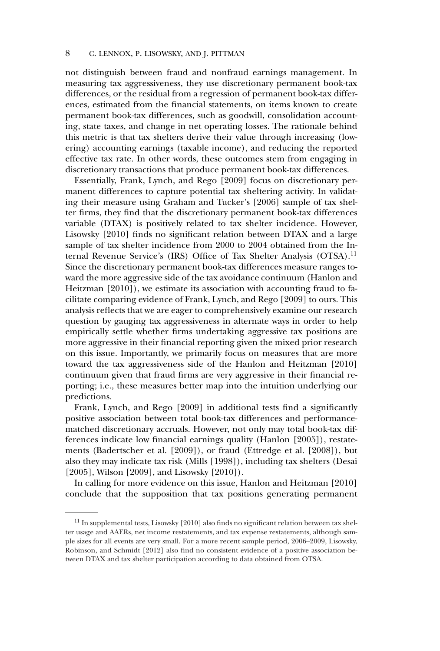not distinguish between fraud and nonfraud earnings management. In measuring tax aggressiveness, they use discretionary permanent book-tax differences, or the residual from a regression of permanent book-tax differences, estimated from the financial statements, on items known to create permanent book-tax differences, such as goodwill, consolidation accounting, state taxes, and change in net operating losses. The rationale behind this metric is that tax shelters derive their value through increasing (lowering) accounting earnings (taxable income), and reducing the reported effective tax rate. In other words, these outcomes stem from engaging in discretionary transactions that produce permanent book-tax differences.

Essentially, Frank, Lynch, and Rego [2009] focus on discretionary permanent differences to capture potential tax sheltering activity. In validating their measure using Graham and Tucker's [2006] sample of tax shelter firms, they find that the discretionary permanent book-tax differences variable (DTAX) is positively related to tax shelter incidence. However, Lisowsky [2010] finds no significant relation between DTAX and a large sample of tax shelter incidence from 2000 to 2004 obtained from the Internal Revenue Service's (IRS) Office of Tax Shelter Analysis (OTSA).<sup>11</sup> Since the discretionary permanent book-tax differences measure ranges toward the more aggressive side of the tax avoidance continuum (Hanlon and Heitzman [2010]), we estimate its association with accounting fraud to facilitate comparing evidence of Frank, Lynch, and Rego [2009] to ours. This analysis reflects that we are eager to comprehensively examine our research question by gauging tax aggressiveness in alternate ways in order to help empirically settle whether firms undertaking aggressive tax positions are more aggressive in their financial reporting given the mixed prior research on this issue. Importantly, we primarily focus on measures that are more toward the tax aggressiveness side of the Hanlon and Heitzman [2010] continuum given that fraud firms are very aggressive in their financial reporting; i.e., these measures better map into the intuition underlying our predictions.

Frank, Lynch, and Rego [2009] in additional tests find a significantly positive association between total book-tax differences and performancematched discretionary accruals. However, not only may total book-tax differences indicate low financial earnings quality (Hanlon [2005]), restatements (Badertscher et al. [2009]), or fraud (Ettredge et al. [2008]), but also they may indicate tax risk (Mills [1998]), including tax shelters (Desai [2005], Wilson [2009], and Lisowsky [2010]).

In calling for more evidence on this issue, Hanlon and Heitzman [2010] conclude that the supposition that tax positions generating permanent

 $11$  In supplemental tests, Lisowsky [2010] also finds no significant relation between tax shelter usage and AAERs, net income restatements, and tax expense restatements, although sample sizes for all events are very small. For a more recent sample period, 2006–2009, Lisowsky, Robinson, and Schmidt [2012] also find no consistent evidence of a positive association between DTAX and tax shelter participation according to data obtained from OTSA.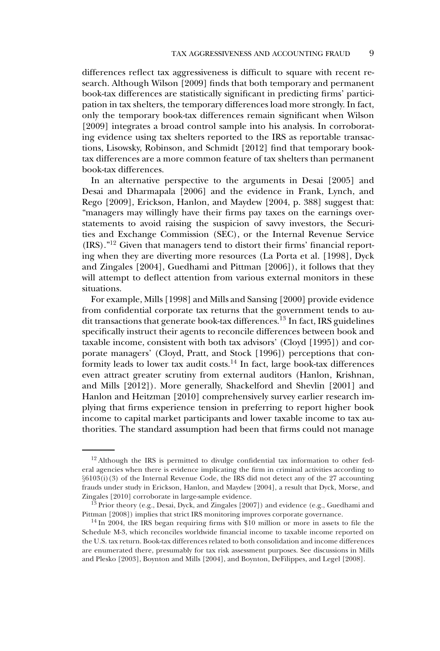differences reflect tax aggressiveness is difficult to square with recent research. Although Wilson [2009] finds that both temporary and permanent book-tax differences are statistically significant in predicting firms' participation in tax shelters, the temporary differences load more strongly. In fact, only the temporary book-tax differences remain significant when Wilson [2009] integrates a broad control sample into his analysis. In corroborating evidence using tax shelters reported to the IRS as reportable transactions, Lisowsky, Robinson, and Schmidt [2012] find that temporary booktax differences are a more common feature of tax shelters than permanent book-tax differences.

In an alternative perspective to the arguments in Desai [2005] and Desai and Dharmapala [2006] and the evidence in Frank, Lynch, and Rego [2009], Erickson, Hanlon, and Maydew [2004, p. 388] suggest that: "managers may willingly have their firms pay taxes on the earnings overstatements to avoid raising the suspicion of savvy investors, the Securities and Exchange Commission (SEC), or the Internal Revenue Service  $(IRS).$ <sup>"12</sup> Given that managers tend to distort their firms' financial reporting when they are diverting more resources (La Porta et al. [1998], Dyck and Zingales [2004], Guedhami and Pittman [2006]), it follows that they will attempt to deflect attention from various external monitors in these situations.

For example, Mills [1998] and Mills and Sansing [2000] provide evidence from confidential corporate tax returns that the government tends to audit transactions that generate book-tax differences.<sup>13</sup> In fact, IRS guidelines specifically instruct their agents to reconcile differences between book and taxable income, consistent with both tax advisors' (Cloyd [1995]) and corporate managers' (Cloyd, Pratt, and Stock [1996]) perceptions that conformity leads to lower tax audit costs.<sup>14</sup> In fact, large book-tax differences even attract greater scrutiny from external auditors (Hanlon, Krishnan, and Mills [2012]). More generally, Shackelford and Shevlin [2001] and Hanlon and Heitzman [2010] comprehensively survey earlier research implying that firms experience tension in preferring to report higher book income to capital market participants and lower taxable income to tax authorities. The standard assumption had been that firms could not manage

<sup>&</sup>lt;sup>12</sup> Although the IRS is permitted to divulge confidential tax information to other federal agencies when there is evidence implicating the firm in criminal activities according to *§*6103(i)(3) of the Internal Revenue Code, the IRS did not detect any of the 27 accounting frauds under study in Erickson, Hanlon, and Maydew [2004], a result that Dyck, Morse, and Zingales [2010] corroborate in large-sample evidence.

<sup>&</sup>lt;sup>13</sup> Prior theory (e.g., Desai, Dyck, and Zingales [2007]) and evidence (e.g., Guedhami and Pittman [2008]) implies that strict IRS monitoring improves corporate governance.

<sup>&</sup>lt;sup>14</sup> In 2004, the IRS began requiring firms with \$10 million or more in assets to file the Schedule M-3, which reconciles worldwide financial income to taxable income reported on the U.S. tax return. Book-tax differences related to both consolidation and income differences are enumerated there, presumably for tax risk assessment purposes. See discussions in Mills and Plesko [2003], Boynton and Mills [2004], and Boynton, DeFilippes, and Legel [2008].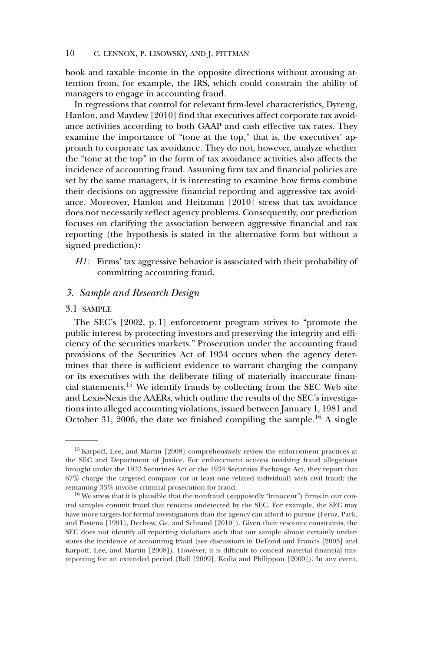book and taxable income in the opposite directions without arousing attention from, for example, the IRS, which could constrain the ability of managers to engage in accounting fraud.

In regressions that control for relevant firm-level characteristics, Dyreng, Hanlon, and Maydew [2010] find that executives affect corporate tax avoidance activities according to both GAAP and cash effective tax rates. They examine the importance of "tone at the top," that is, the executives' approach to corporate tax avoidance. They do not, however, analyze whether the "tone at the top" in the form of tax avoidance activities also affects the incidence of accounting fraud. Assuming firm tax and financial policies are set by the same managers, it is interesting to examine how firms combine their decisions on aggressive financial reporting and aggressive tax avoidance. Moreover, Hanlon and Heitzman [2010] stress that tax avoidance does not necessarily reflect agency problems. Consequently, our prediction focuses on clarifying the association between aggressive financial and tax reporting (the hypothesis is stated in the alternative form but without a signed prediction):

*H1:* Firms' tax aggressive behavior is associated with their probability of committing accounting fraud.

## *3. Sample and Research Design*

#### 3.1 SAMPLE

The SEC's [2002, p. 1] enforcement program strives to "promote the public interest by protecting investors and preserving the integrity and efficiency of the securities markets." Prosecution under the accounting fraud provisions of the Securities Act of 1934 occurs when the agency determines that there is sufficient evidence to warrant charging the company or its executives with the deliberate filing of materially inaccurate financial statements.15 We identify frauds by collecting from the SEC Web site and Lexis-Nexis the AAERs, which outline the results of the SEC's investigations into alleged accounting violations, issued between January 1, 1981 and October 31, 2006, the date we finished compiling the sample.<sup>16</sup> A single

<sup>&</sup>lt;sup>15</sup> Karpoff, Lee, and Martin [2008] comprehensively review the enforcement practices at the SEC and Department of Justice. For enforcement actions involving fraud allegations brought under the 1933 Securities Act or the 1934 Securities Exchange Act, they report that 67% charge the targeted company (or at least one related individual) with civil fraud; the remaining 33% involve criminal prosecution for fraud.

 $16$  We stress that it is plausible that the nonfraud (supposedly "innocent") firms in our control samples commit fraud that remains undetected by the SEC. For example, the SEC may have more targets for formal investigations than the agency can afford to pursue (Feroz, Park, and Pastena [1991], Dechow, Ge, and Schrand [2010]). Given their resource constraints, the SEC does not identify all reporting violations such that our sample almost certainly understates the incidence of accounting fraud (see discussions in DeFond and Francis [2005] and Karpoff, Lee, and Martin [2008]). However, it is difficult to conceal material financial misreporting for an extended period (Ball [2009], Kedia and Philippon [2009]). In any event,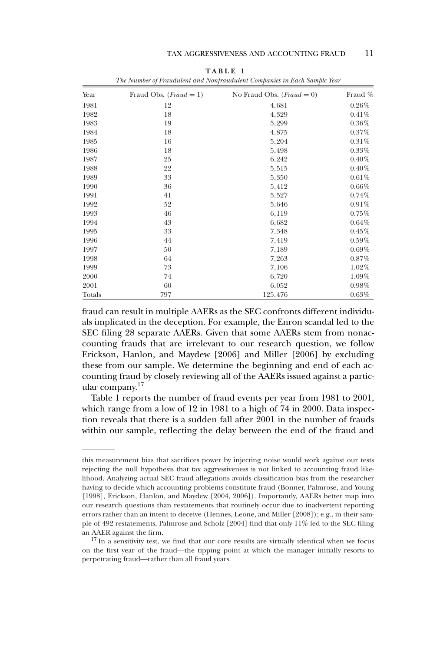| Year   | Fraud Obs. ( <i>Fraud</i> = 1) | No Fraud Obs. ( <i>Fraud</i> = 0) | Fraud %  |
|--------|--------------------------------|-----------------------------------|----------|
| 1981   | 12                             | 4,681                             | 0.26%    |
| 1982   | 18                             | 4,329                             | 0.41%    |
| 1983   | 19                             | 5,299                             | $0.36\%$ |
| 1984   | 18                             | 4,875                             | 0.37%    |
| 1985   | 16                             | 5,204                             | $0.31\%$ |
| 1986   | 18                             | 5,498                             | $0.33\%$ |
| 1987   | 25                             | 6,242                             | $0.40\%$ |
| 1988   | 22                             | 5,515                             | $0.40\%$ |
| 1989   | 33                             | 5,350                             | $0.61\%$ |
| 1990   | 36                             | 5,412                             | $0.66\%$ |
| 1991   | 41                             | 5,527                             | 0.74%    |
| 1992   | 52                             | 5,646                             | $0.91\%$ |
| 1993   | 46                             | 6,119                             | 0.75%    |
| 1994   | 43                             | 6,682                             | 0.64%    |
| 1995   | 33                             | 7,348                             | $0.45\%$ |
| 1996   | 44                             | 7,419                             | $0.59\%$ |
| 1997   | 50                             | 7,189                             | $0.69\%$ |
| 1998   | 64                             | 7,263                             | 0.87%    |
| 1999   | 73                             | 7,106                             | 1.02%    |
| 2000   | 74                             | 6,720                             | 1.09%    |
| 2001   | 60                             | 6,052                             | $0.98\%$ |
| Totals | 797                            | 125,476                           | 0.63%    |

**TABLE 1** *The Number of Fraudulent and Nonfraudulent Companies in Each Sample Year*

fraud can result in multiple AAERs as the SEC confronts different individuals implicated in the deception. For example, the Enron scandal led to the SEC filing 28 separate AAERs. Given that some AAERs stem from nonaccounting frauds that are irrelevant to our research question, we follow Erickson, Hanlon, and Maydew [2006] and Miller [2006] by excluding these from our sample. We determine the beginning and end of each accounting fraud by closely reviewing all of the AAERs issued against a particular company. $17$ 

Table 1 reports the number of fraud events per year from 1981 to 2001, which range from a low of 12 in 1981 to a high of 74 in 2000. Data inspection reveals that there is a sudden fall after 2001 in the number of frauds within our sample, reflecting the delay between the end of the fraud and

this measurement bias that sacrifices power by injecting noise would work against our tests rejecting the null hypothesis that tax aggressiveness is not linked to accounting fraud likelihood. Analyzing actual SEC fraud allegations avoids classification bias from the researcher having to decide which accounting problems constitute fraud (Bonner, Palmrose, and Young [1998], Erickson, Hanlon, and Maydew [2004, 2006]). Importantly, AAERs better map into our research questions than restatements that routinely occur due to inadvertent reporting errors rather than an intent to deceive (Hennes, Leone, and Miller [2008]); e.g., in their sample of 492 restatements, Palmrose and Scholz [2004] find that only 11% led to the SEC filing an AAER against the firm.

<sup>&</sup>lt;sup>17</sup> In a sensitivity test, we find that our core results are virtually identical when we focus on the first year of the fraud—the tipping point at which the manager initially resorts to perpetrating fraud—rather than all fraud years.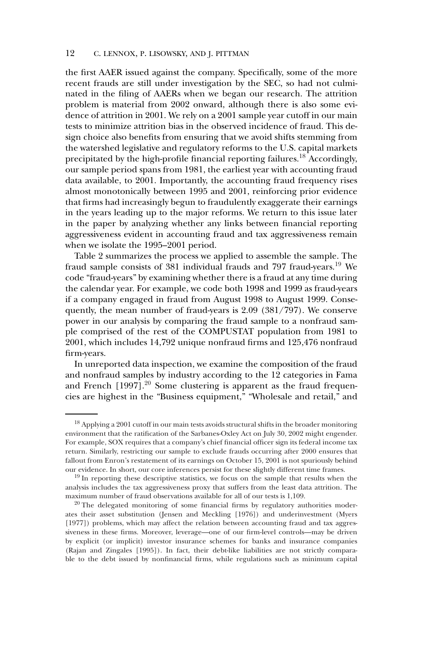the first AAER issued against the company. Specifically, some of the more recent frauds are still under investigation by the SEC, so had not culminated in the filing of AAERs when we began our research. The attrition problem is material from 2002 onward, although there is also some evidence of attrition in 2001. We rely on a 2001 sample year cutoff in our main tests to minimize attrition bias in the observed incidence of fraud. This design choice also benefits from ensuring that we avoid shifts stemming from the watershed legislative and regulatory reforms to the U.S. capital markets precipitated by the high-profile financial reporting failures.<sup>18</sup> Accordingly, our sample period spans from 1981, the earliest year with accounting fraud data available, to 2001. Importantly, the accounting fraud frequency rises almost monotonically between 1995 and 2001, reinforcing prior evidence that firms had increasingly begun to fraudulently exaggerate their earnings in the years leading up to the major reforms. We return to this issue later in the paper by analyzing whether any links between financial reporting aggressiveness evident in accounting fraud and tax aggressiveness remain when we isolate the 1995–2001 period.

Table 2 summarizes the process we applied to assemble the sample. The fraud sample consists of 381 individual frauds and 797 fraud-years.19 We code "fraud-years" by examining whether there is a fraud at any time during the calendar year. For example, we code both 1998 and 1999 as fraud-years if a company engaged in fraud from August 1998 to August 1999. Consequently, the mean number of fraud-years is 2.09 (381/797). We conserve power in our analysis by comparing the fraud sample to a nonfraud sample comprised of the rest of the COMPUSTAT population from 1981 to 2001, which includes 14,792 unique nonfraud firms and 125,476 nonfraud firm-years.

In unreported data inspection, we examine the composition of the fraud and nonfraud samples by industry according to the 12 categories in Fama and French  $[1997]$ .<sup>20</sup> Some clustering is apparent as the fraud frequencies are highest in the "Business equipment," "Wholesale and retail," and

 $^{18}$  Applying a 2001 cutoff in our main tests avoids structural shifts in the broader monitoring environment that the ratification of the Sarbanes-Oxley Act on July 30, 2002 might engender. For example, SOX requires that a company's chief financial officer sign its federal income tax return. Similarly, restricting our sample to exclude frauds occurring after 2000 ensures that fallout from Enron's restatement of its earnings on October 15, 2001 is not spuriously behind our evidence. In short, our core inferences persist for these slightly different time frames.

 $19$  In reporting these descriptive statistics, we focus on the sample that results when the analysis includes the tax aggressiveness proxy that suffers from the least data attrition. The maximum number of fraud observations available for all of our tests is 1,109.

<sup>&</sup>lt;sup>20</sup> The delegated monitoring of some financial firms by regulatory authorities moderates their asset substitution (Jensen and Meckling [1976]) and underinvestment (Myers [1977]) problems, which may affect the relation between accounting fraud and tax aggressiveness in these firms. Moreover, leverage—one of our firm-level controls—may be driven by explicit (or implicit) investor insurance schemes for banks and insurance companies (Rajan and Zingales [1995]). In fact, their debt-like liabilities are not strictly comparable to the debt issued by nonfinancial firms, while regulations such as minimum capital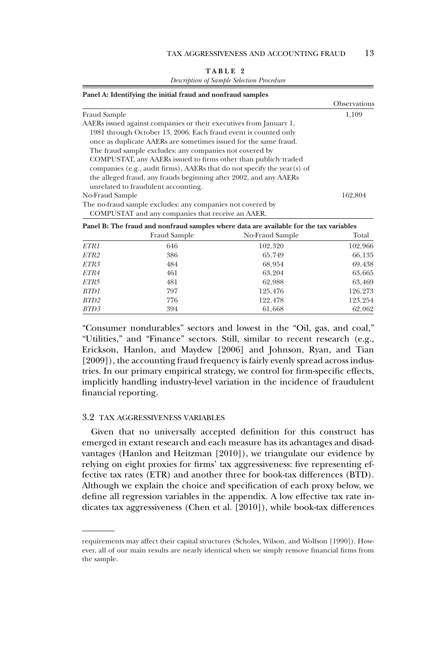| ABLF |
|------|
|------|

*Description of Sample Selection Procedure*

|                                                                         | <b>Observations</b> |
|-------------------------------------------------------------------------|---------------------|
| <b>Fraud Sample</b>                                                     | 1.109               |
| AAERs issued against companies or their executives from January 1,      |                     |
| 1981 through October 13, 2006. Each fraud event is counted only         |                     |
| once as duplicate AAERs are sometimes issued for the same fraud.        |                     |
| The fraud sample excludes: any companies not covered by                 |                     |
| COMPUSTAT, any AAERs issued to firms other than publicly traded         |                     |
| companies (e.g., audit firms), AAERs that do not specify the year(s) of |                     |
| the alleged fraud, any frauds beginning after 2002, and any AAERs       |                     |
| unrelated to fraudulent accounting.                                     |                     |
| No-Fraud Sample                                                         | 162.804             |
| The no-fraud sample excludes: any companies not covered by              |                     |
| COMPUSTAT and any companies that receive an AAER.                       |                     |

|                  |              | Panel B: The fraud and nonfraud samples where data are available for the tax variables |         |
|------------------|--------------|----------------------------------------------------------------------------------------|---------|
|                  | Fraud Sample | No-Fraud Sample                                                                        | Total   |
| ETR1             | 646          | 102,320                                                                                | 102,966 |
| ETR <sub>2</sub> | 386          | 65.749                                                                                 | 66,135  |
| <i>ETR3</i>      | 484          | 68.954                                                                                 | 69,438  |
| ETR4             | 461          | 63.204                                                                                 | 63,665  |
| ETR5             | 481          | 62,988                                                                                 | 63,469  |
| BTD1             | 797          | 125,476                                                                                | 126.273 |
| BTD2             | 776          | 122,478                                                                                | 123.254 |
| BTD3             | 394          | 61,668                                                                                 | 62.062  |

"Consumer nondurables" sectors and lowest in the "Oil, gas, and coal," "Utilities," and "Finance" sectors. Still, similar to recent research (e.g., Erickson, Hanlon, and Maydew [2006] and Johnson, Ryan, and Tian [2009]), the accounting fraud frequency is fairly evenly spread across industries. In our primary empirical strategy, we control for firm-specific effects, implicitly handling industry-level variation in the incidence of fraudulent financial reporting.

#### 3.2 TAX AGGRESSIVENESS VARIABLES

Given that no universally accepted definition for this construct has emerged in extant research and each measure has its advantages and disadvantages (Hanlon and Heitzman [2010]), we triangulate our evidence by relying on eight proxies for firms' tax aggressiveness: five representing effective tax rates (ETR) and another three for book-tax differences (BTD). Although we explain the choice and specification of each proxy below, we define all regression variables in the appendix. A low effective tax rate indicates tax aggressiveness (Chen et al. [2010]), while book-tax differences

requirements may affect their capital structures (Scholes, Wilson, and Wolfson [1990]). However, all of our main results are nearly identical when we simply remove financial firms from the sample.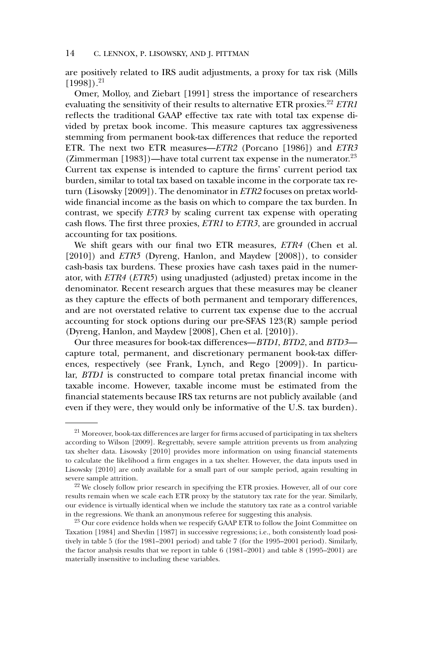are positively related to IRS audit adjustments, a proxy for tax risk (Mills  $[1998]$ ).<sup>21</sup>

Omer, Molloy, and Ziebart [1991] stress the importance of researchers evaluating the sensitivity of their results to alternative ETR proxies.<sup>22</sup> *ETR1* reflects the traditional GAAP effective tax rate with total tax expense divided by pretax book income. This measure captures tax aggressiveness stemming from permanent book-tax differences that reduce the reported ETR. The next two ETR measures—*ETR2* (Porcano [1986]) and *ETR3* (Zimmerman [1983])—have total current tax expense in the numerator.<sup>23</sup> Current tax expense is intended to capture the firms' current period tax burden, similar to total tax based on taxable income in the corporate tax return (Lisowsky [2009]). The denominator in *ETR2* focuses on pretax worldwide financial income as the basis on which to compare the tax burden. In contrast, we specify *ETR3* by scaling current tax expense with operating cash flows. The first three proxies, *ETR1* to *ETR3*, are grounded in accrual accounting for tax positions.

We shift gears with our final two ETR measures, *ETR4* (Chen et al. [2010]) and *ETR5* (Dyreng, Hanlon, and Maydew [2008]), to consider cash-basis tax burdens. These proxies have cash taxes paid in the numerator, with *ETR4* (*ETR5*) using unadjusted (adjusted) pretax income in the denominator. Recent research argues that these measures may be cleaner as they capture the effects of both permanent and temporary differences, and are not overstated relative to current tax expense due to the accrual accounting for stock options during our pre-SFAS 123(R) sample period (Dyreng, Hanlon, and Maydew [2008], Chen et al. [2010]).

Our three measures for book-tax differences—*BTD1*, *BTD2*, and *BTD3* capture total, permanent, and discretionary permanent book-tax differences, respectively (see Frank, Lynch, and Rego [2009]). In particular, *BTD1* is constructed to compare total pretax financial income with taxable income. However, taxable income must be estimated from the financial statements because IRS tax returns are not publicly available (and even if they were, they would only be informative of the U.S. tax burden).

<sup>&</sup>lt;sup>21</sup> Moreover, book-tax differences are larger for firms accused of participating in tax shelters according to Wilson [2009]. Regrettably, severe sample attrition prevents us from analyzing tax shelter data. Lisowsky [2010] provides more information on using financial statements to calculate the likelihood a firm engages in a tax shelter. However, the data inputs used in Lisowsky [2010] are only available for a small part of our sample period, again resulting in severe sample attrition.

 $22$  We closely follow prior research in specifying the ETR proxies. However, all of our core results remain when we scale each ETR proxy by the statutory tax rate for the year. Similarly, our evidence is virtually identical when we include the statutory tax rate as a control variable in the regressions. We thank an anonymous referee for suggesting this analysis.

<sup>&</sup>lt;sup>23</sup> Our core evidence holds when we respecify GAAP ETR to follow the Joint Committee on Taxation [1984] and Shevlin [1987] in successive regressions; i.e., both consistently load positively in table 5 (for the 1981–2001 period) and table 7 (for the 1995–2001 period). Similarly, the factor analysis results that we report in table 6 (1981–2001) and table 8 (1995–2001) are materially insensitive to including these variables.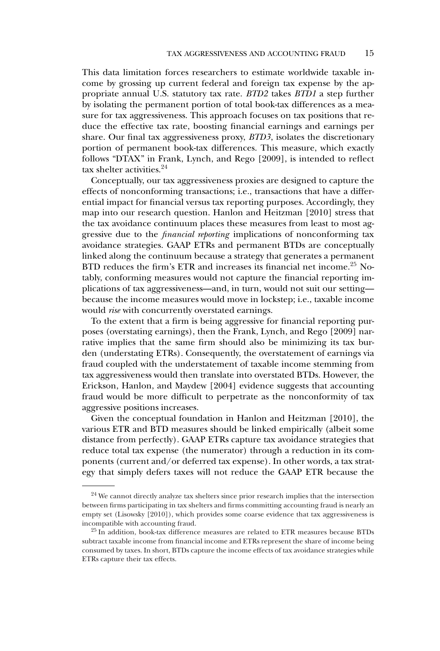This data limitation forces researchers to estimate worldwide taxable income by grossing up current federal and foreign tax expense by the appropriate annual U.S. statutory tax rate. *BTD2* takes *BTD1* a step further by isolating the permanent portion of total book-tax differences as a measure for tax aggressiveness. This approach focuses on tax positions that reduce the effective tax rate, boosting financial earnings and earnings per share. Our final tax aggressiveness proxy, *BTD3*, isolates the discretionary portion of permanent book-tax differences. This measure, which exactly follows "DTAX" in Frank, Lynch, and Rego [2009], is intended to reflect tax shelter activities.<sup>24</sup>

Conceptually, our tax aggressiveness proxies are designed to capture the effects of nonconforming transactions; i.e., transactions that have a differential impact for financial versus tax reporting purposes. Accordingly, they map into our research question. Hanlon and Heitzman [2010] stress that the tax avoidance continuum places these measures from least to most aggressive due to the *financial reporting* implications of nonconforming tax avoidance strategies. GAAP ETRs and permanent BTDs are conceptually linked along the continuum because a strategy that generates a permanent BTD reduces the firm's ETR and increases its financial net income.<sup>25</sup> Notably, conforming measures would not capture the financial reporting implications of tax aggressiveness—and, in turn, would not suit our setting because the income measures would move in lockstep; i.e., taxable income would *rise* with concurrently overstated earnings.

To the extent that a firm is being aggressive for financial reporting purposes (overstating earnings), then the Frank, Lynch, and Rego [2009] narrative implies that the same firm should also be minimizing its tax burden (understating ETRs). Consequently, the overstatement of earnings via fraud coupled with the understatement of taxable income stemming from tax aggressiveness would then translate into overstated BTDs. However, the Erickson, Hanlon, and Maydew [2004] evidence suggests that accounting fraud would be more difficult to perpetrate as the nonconformity of tax aggressive positions increases.

Given the conceptual foundation in Hanlon and Heitzman [2010], the various ETR and BTD measures should be linked empirically (albeit some distance from perfectly). GAAP ETRs capture tax avoidance strategies that reduce total tax expense (the numerator) through a reduction in its components (current and/or deferred tax expense). In other words, a tax strategy that simply defers taxes will not reduce the GAAP ETR because the

<sup>&</sup>lt;sup>24</sup> We cannot directly analyze tax shelters since prior research implies that the intersection between firms participating in tax shelters and firms committing accounting fraud is nearly an empty set (Lisowsky [2010]), which provides some coarse evidence that tax aggressiveness is incompatible with accounting fraud.

<sup>&</sup>lt;sup>25</sup> In addition, book-tax difference measures are related to ETR measures because BTDs subtract taxable income from financial income and ETRs represent the share of income being consumed by taxes. In short, BTDs capture the income effects of tax avoidance strategies while ETRs capture their tax effects.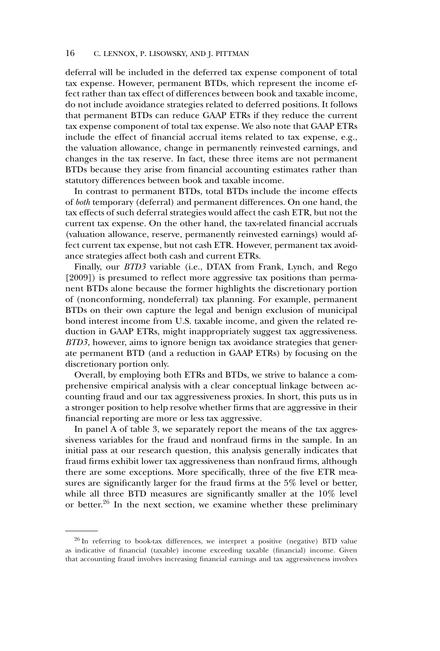deferral will be included in the deferred tax expense component of total tax expense. However, permanent BTDs, which represent the income effect rather than tax effect of differences between book and taxable income, do not include avoidance strategies related to deferred positions. It follows that permanent BTDs can reduce GAAP ETRs if they reduce the current tax expense component of total tax expense. We also note that GAAP ETRs include the effect of financial accrual items related to tax expense, e.g., the valuation allowance, change in permanently reinvested earnings, and changes in the tax reserve. In fact, these three items are not permanent BTDs because they arise from financial accounting estimates rather than statutory differences between book and taxable income.

In contrast to permanent BTDs, total BTDs include the income effects of *both* temporary (deferral) and permanent differences. On one hand, the tax effects of such deferral strategies would affect the cash ETR, but not the current tax expense. On the other hand, the tax-related financial accruals (valuation allowance, reserve, permanently reinvested earnings) would affect current tax expense, but not cash ETR. However, permanent tax avoidance strategies affect both cash and current ETRs.

Finally, our *BTD3* variable (i.e., DTAX from Frank, Lynch, and Rego [2009]) is presumed to reflect more aggressive tax positions than permanent BTDs alone because the former highlights the discretionary portion of (nonconforming, nondeferral) tax planning. For example, permanent BTDs on their own capture the legal and benign exclusion of municipal bond interest income from U.S. taxable income, and given the related reduction in GAAP ETRs, might inappropriately suggest tax aggressiveness. *BTD3*, however, aims to ignore benign tax avoidance strategies that generate permanent BTD (and a reduction in GAAP ETRs) by focusing on the discretionary portion only.

Overall, by employing both ETRs and BTDs, we strive to balance a comprehensive empirical analysis with a clear conceptual linkage between accounting fraud and our tax aggressiveness proxies. In short, this puts us in a stronger position to help resolve whether firms that are aggressive in their financial reporting are more or less tax aggressive.

In panel A of table 3, we separately report the means of the tax aggressiveness variables for the fraud and nonfraud firms in the sample. In an initial pass at our research question, this analysis generally indicates that fraud firms exhibit lower tax aggressiveness than nonfraud firms, although there are some exceptions. More specifically, three of the five ETR measures are significantly larger for the fraud firms at the 5% level or better, while all three BTD measures are significantly smaller at the 10% level or better.<sup>26</sup> In the next section, we examine whether these preliminary

<sup>26</sup> In referring to book-tax differences, we interpret a positive (negative) BTD value as indicative of financial (taxable) income exceeding taxable (financial) income. Given that accounting fraud involves increasing financial earnings and tax aggressiveness involves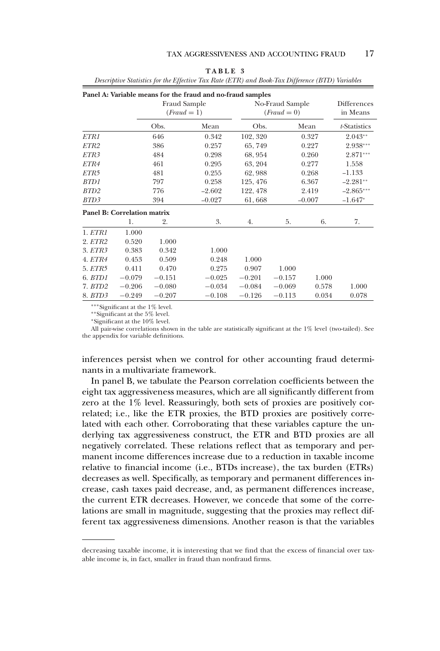|                  |                                    |                             | Panel A: Variable means for the fraud and no-fraud samples |          |                                |                                |              |  |  |
|------------------|------------------------------------|-----------------------------|------------------------------------------------------------|----------|--------------------------------|--------------------------------|--------------|--|--|
|                  |                                    | Fraud Sample<br>$(Fraud=1)$ |                                                            |          | No-Fraud Sample<br>$(Fraud=0)$ | <b>Differences</b><br>in Means |              |  |  |
|                  |                                    | Obs.                        | Mean                                                       | Obs.     |                                | Mean                           | t-Statistics |  |  |
| ETR1             |                                    | 646                         | 0.342                                                      | 102, 320 |                                | 0.327                          | $2.043**$    |  |  |
| ETR <sub>2</sub> |                                    | 386                         | 0.257                                                      | 65,749   |                                | 0.227                          | 2.938***     |  |  |
| ETR3             |                                    | 484                         | 0.298                                                      | 68, 954  |                                | 0.260                          | $2.871***$   |  |  |
| ETR4             |                                    | 461                         | 0.295                                                      | 63, 204  |                                | 0.277                          | 1.558        |  |  |
| ETR5             |                                    | 481                         | 0.255                                                      | 62,988   |                                | 0.268                          | $-1.133$     |  |  |
| BTD1             |                                    | 797                         | 0.258                                                      | 125, 476 |                                | 6.367                          | $-2.281**$   |  |  |
| BTD <sub>2</sub> |                                    | 776                         | $-2.602$                                                   | 122, 478 |                                | 2.419                          | $-2.865***$  |  |  |
| BTD3             |                                    | 394                         | $-0.027$                                                   | 61,668   |                                | $-0.007$                       | $-1.647*$    |  |  |
|                  | <b>Panel B: Correlation matrix</b> |                             |                                                            |          |                                |                                |              |  |  |
|                  | 1.                                 | 2.                          | 3.                                                         | 4.       | 5.                             | 6.                             | 7.           |  |  |
| 1. ETR1          | 1.000                              |                             |                                                            |          |                                |                                |              |  |  |
| 2. <i>ETR2</i>   | 0.520                              | 1.000                       |                                                            |          |                                |                                |              |  |  |
| 3. <i>ETR3</i>   | 0.383                              | 0.342                       | 1.000                                                      |          |                                |                                |              |  |  |
| <b>4. ETR4</b>   | 0.453                              | 0.509                       | 0.248                                                      | 1.000    |                                |                                |              |  |  |
| 5. <i>ETR5</i>   | 0.411                              | 0.470                       | 0.275                                                      | 0.907    | 1.000                          |                                |              |  |  |
| 6. BTD1          | $-0.079$                           | $-0.151$                    | $-0.025$                                                   | $-0.201$ | $-0.157$                       | 1.000                          |              |  |  |
| 7. BTD2          | $-0.206$                           | $-0.080$                    | $-0.034$                                                   | $-0.084$ | $-0.069$                       | 0.578                          | 1.000        |  |  |
| 8. BTD3          | $-0.249$                           | $-0.207$                    | $-0.108$                                                   | $-0.126$ | $-0.113$                       | 0.034                          | 0.078        |  |  |

**TABLE 3** *Descriptive Statistics for the Effective Tax Rate (ETR) and Book-Tax Difference (BTD) Variables*

∗∗∗Significant at the 1% level.

∗∗Significant at the 5% level.

∗Significant at the 10% level.

All pair-wise correlations shown in the table are statistically significant at the 1% level (two-tailed). See the appendix for variable definitions.

inferences persist when we control for other accounting fraud determinants in a multivariate framework.

In panel B, we tabulate the Pearson correlation coefficients between the eight tax aggressiveness measures, which are all significantly different from zero at the 1% level. Reassuringly, both sets of proxies are positively correlated; i.e., like the ETR proxies, the BTD proxies are positively correlated with each other. Corroborating that these variables capture the underlying tax aggressiveness construct, the ETR and BTD proxies are all negatively correlated. These relations reflect that as temporary and permanent income differences increase due to a reduction in taxable income relative to financial income (i.e., BTDs increase), the tax burden (ETRs) decreases as well. Specifically, as temporary and permanent differences increase, cash taxes paid decrease, and, as permanent differences increase, the current ETR decreases. However, we concede that some of the correlations are small in magnitude, suggesting that the proxies may reflect different tax aggressiveness dimensions. Another reason is that the variables

decreasing taxable income, it is interesting that we find that the excess of financial over taxable income is, in fact, smaller in fraud than nonfraud firms.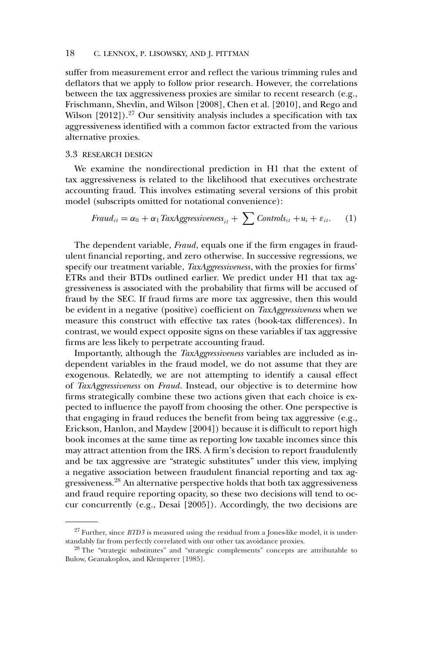suffer from measurement error and reflect the various trimming rules and deflators that we apply to follow prior research. However, the correlations between the tax aggressiveness proxies are similar to recent research (e.g., Frischmann, Shevlin, and Wilson [2008], Chen et al. [2010], and Rego and Wilson  $[2012]$ ).<sup>27</sup> Our sensitivity analysis includes a specification with tax aggressiveness identified with a common factor extracted from the various alternative proxies.

#### 3.3 RESEARCH DESIGN

We examine the nondirectional prediction in H1 that the extent of tax aggressiveness is related to the likelihood that executives orchestrate accounting fraud. This involves estimating several versions of this probit model (subscripts omitted for notational convenience):

$$
Fraud_{it} = \alpha_0 + \alpha_1 TaxAggressiveness_{it} + \sum Controls_{it} + u_i + \varepsilon_{it}.
$$
 (1)

The dependent variable, *Fraud*, equals one if the firm engages in fraudulent financial reporting, and zero otherwise. In successive regressions, we specify our treatment variable, *TaxAggressiveness*, with the proxies for firms' ETRs and their BTDs outlined earlier. We predict under H1 that tax aggressiveness is associated with the probability that firms will be accused of fraud by the SEC. If fraud firms are more tax aggressive, then this would be evident in a negative (positive) coefficient on *TaxAggressiveness* when we measure this construct with effective tax rates (book-tax differences). In contrast, we would expect opposite signs on these variables if tax aggressive firms are less likely to perpetrate accounting fraud.

Importantly, although the *TaxAggressiveness* variables are included as independent variables in the fraud model, we do not assume that they are exogenous. Relatedly, we are not attempting to identify a causal effect of *TaxAggressiveness* on *Fraud*. Instead, our objective is to determine how firms strategically combine these two actions given that each choice is expected to influence the payoff from choosing the other. One perspective is that engaging in fraud reduces the benefit from being tax aggressive (e.g., Erickson, Hanlon, and Maydew [2004]) because it is difficult to report high book incomes at the same time as reporting low taxable incomes since this may attract attention from the IRS. A firm's decision to report fraudulently and be tax aggressive are "strategic substitutes" under this view, implying a negative association between fraudulent financial reporting and tax aggressiveness.<sup>28</sup> An alternative perspective holds that both tax aggressiveness and fraud require reporting opacity, so these two decisions will tend to occur concurrently (e.g., Desai [2005]). Accordingly, the two decisions are

<sup>&</sup>lt;sup>27</sup> Further, since *BTD3* is measured using the residual from a Jones-like model, it is understandably far from perfectly correlated with our other tax avoidance proxies.

<sup>&</sup>lt;sup>28</sup> The "strategic substitutes" and "strategic complements" concepts are attributable to Bulow, Geanakoplos, and Klemperer [1985].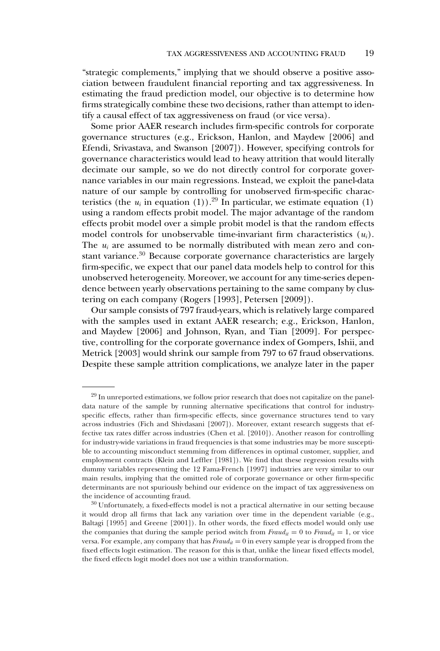"strategic complements," implying that we should observe a positive association between fraudulent financial reporting and tax aggressiveness. In estimating the fraud prediction model, our objective is to determine how firms strategically combine these two decisions, rather than attempt to identify a causal effect of tax aggressiveness on fraud (or vice versa).

Some prior AAER research includes firm-specific controls for corporate governance structures (e.g., Erickson, Hanlon, and Maydew [2006] and Efendi, Srivastava, and Swanson [2007]). However, specifying controls for governance characteristics would lead to heavy attrition that would literally decimate our sample, so we do not directly control for corporate governance variables in our main regressions. Instead, we exploit the panel-data nature of our sample by controlling for unobserved firm-specific characteristics (the  $u_i$  in equation (1)).<sup>29</sup> In particular, we estimate equation (1) using a random effects probit model. The major advantage of the random effects probit model over a simple probit model is that the random effects model controls for unobservable time-invariant firm characteristics (*ui*). The  $u_i$  are assumed to be normally distributed with mean zero and constant variance.<sup>30</sup> Because corporate governance characteristics are largely firm-specific, we expect that our panel data models help to control for this unobserved heterogeneity. Moreover, we account for any time-series dependence between yearly observations pertaining to the same company by clustering on each company (Rogers [1993], Petersen [2009]).

Our sample consists of 797 fraud-years, which is relatively large compared with the samples used in extant AAER research; e.g., Erickson, Hanlon, and Maydew [2006] and Johnson, Ryan, and Tian [2009]. For perspective, controlling for the corporate governance index of Gompers, Ishii, and Metrick [2003] would shrink our sample from 797 to 67 fraud observations. Despite these sample attrition complications, we analyze later in the paper

<sup>&</sup>lt;sup>29</sup> In unreported estimations, we follow prior research that does not capitalize on the paneldata nature of the sample by running alternative specifications that control for industryspecific effects, rather than firm-specific effects, since governance structures tend to vary across industries (Fich and Shivdasani [2007]). Moreover, extant research suggests that effective tax rates differ across industries (Chen et al. [2010]). Another reason for controlling for industry-wide variations in fraud frequencies is that some industries may be more susceptible to accounting misconduct stemming from differences in optimal customer, supplier, and employment contracts (Klein and Leffler [1981]). We find that these regression results with dummy variables representing the 12 Fama-French [1997] industries are very similar to our main results, implying that the omitted role of corporate governance or other firm-specific determinants are not spuriously behind our evidence on the impact of tax aggressiveness on the incidence of accounting fraud.

<sup>30</sup> Unfortunately, a fixed-effects model is not a practical alternative in our setting because it would drop all firms that lack any variation over time in the dependent variable (e.g., Baltagi [1995] and Greene [2001]). In other words, the fixed effects model would only use the companies that during the sample period switch from  $\text{Fraud}_{it} = 0$  to  $\text{Fraud}_{it} = 1$ , or vice versa. For example, any company that has  $\text{Fraud}_{it} = 0$  in every sample year is dropped from the fixed effects logit estimation. The reason for this is that, unlike the linear fixed effects model, the fixed effects logit model does not use a within transformation.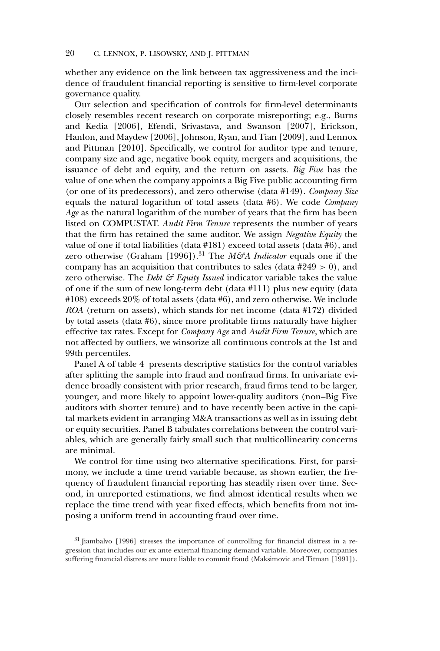whether any evidence on the link between tax aggressiveness and the incidence of fraudulent financial reporting is sensitive to firm-level corporate governance quality.

Our selection and specification of controls for firm-level determinants closely resembles recent research on corporate misreporting; e.g., Burns and Kedia [2006], Efendi, Srivastava, and Swanson [2007], Erickson, Hanlon, and Maydew [2006], Johnson, Ryan, and Tian [2009], and Lennox and Pittman [2010]. Specifically, we control for auditor type and tenure, company size and age, negative book equity, mergers and acquisitions, the issuance of debt and equity, and the return on assets. *Big Five* has the value of one when the company appoints a Big Five public accounting firm (or one of its predecessors), and zero otherwise (data #149). *Company Size* equals the natural logarithm of total assets (data #6). We code *Company Age* as the natural logarithm of the number of years that the firm has been listed on COMPUSTAT. *Audit Firm Tenure* represents the number of years that the firm has retained the same auditor. We assign *Negative Equity* the value of one if total liabilities (data #181) exceed total assets (data #6), and zero otherwise (Graham [1996]).<sup>31</sup> The *M&A Indicator* equals one if the company has an acquisition that contributes to sales (data  $\#249 > 0$ ), and zero otherwise. The *Debt & Equity Issued* indicator variable takes the value of one if the sum of new long-term debt (data #111) plus new equity (data #108) exceeds 20% of total assets (data #6), and zero otherwise. We include *ROA* (return on assets), which stands for net income (data #172) divided by total assets (data #6), since more profitable firms naturally have higher effective tax rates. Except for *Company Age* and *Audit Firm Tenure*, which are not affected by outliers, we winsorize all continuous controls at the 1st and 99th percentiles.

Panel A of table 4 presents descriptive statistics for the control variables after splitting the sample into fraud and nonfraud firms. In univariate evidence broadly consistent with prior research, fraud firms tend to be larger, younger, and more likely to appoint lower-quality auditors (non–Big Five auditors with shorter tenure) and to have recently been active in the capital markets evident in arranging M&A transactions as well as in issuing debt or equity securities. Panel B tabulates correlations between the control variables, which are generally fairly small such that multicollinearity concerns are minimal.

We control for time using two alternative specifications. First, for parsimony, we include a time trend variable because, as shown earlier, the frequency of fraudulent financial reporting has steadily risen over time. Second, in unreported estimations, we find almost identical results when we replace the time trend with year fixed effects, which benefits from not imposing a uniform trend in accounting fraud over time.

<sup>31</sup> Jiambalvo [1996] stresses the importance of controlling for financial distress in a regression that includes our ex ante external financing demand variable. Moreover, companies suffering financial distress are more liable to commit fraud (Maksimovic and Titman [1991]).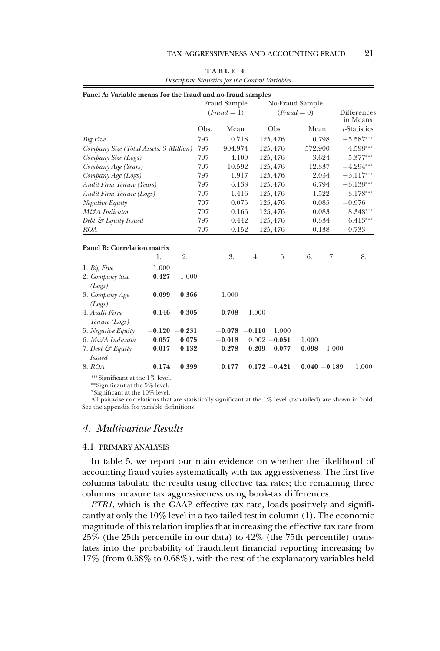|                                                                                                                                                                                                                                    | Panel A: Variable means for the fraud and no-fraud samples |                  | Fraud Sample<br>$(Fraud=1)$ |                  |  |       | No-Fraud Sample<br>$(Fraud=0)$ |                 | Differences<br>in Means |              |  |
|------------------------------------------------------------------------------------------------------------------------------------------------------------------------------------------------------------------------------------|------------------------------------------------------------|------------------|-----------------------------|------------------|--|-------|--------------------------------|-----------------|-------------------------|--------------|--|
|                                                                                                                                                                                                                                    |                                                            |                  | Obs.                        | Mean             |  |       | Obs.                           | Mean            |                         | t-Statistics |  |
| <b>Big Five</b>                                                                                                                                                                                                                    |                                                            |                  | 797                         | 0.718            |  |       | 125,476                        | 0.798           |                         | $-5.587***$  |  |
| Company Size (Total Assets, \$ Million)                                                                                                                                                                                            |                                                            |                  | 797                         | 904.974          |  |       | 125,476                        | 572.900         |                         | 4.598***     |  |
| Company Size (Logs)                                                                                                                                                                                                                |                                                            |                  | 797                         | 4.100            |  |       | 125,476                        | 3.624           |                         | $5.377***$   |  |
| Company Age (Years)                                                                                                                                                                                                                |                                                            |                  | 797                         | 10.592           |  |       | 125,476                        | 12.337          |                         | $-4.294***$  |  |
| Company Age (Logs)                                                                                                                                                                                                                 |                                                            |                  | 797                         | 1.917            |  |       | 125,476                        | 2.034           |                         | $-3.117***$  |  |
| Audit Firm Tenure (Years)                                                                                                                                                                                                          |                                                            |                  | 797                         | 6.138            |  |       | 125,476                        | 6.794           |                         | $-3.138***$  |  |
| Audit Firm Tenure (Logs)                                                                                                                                                                                                           |                                                            |                  | 797                         | 1.416            |  |       | 125,476                        | 1.522           |                         | $-3.178***$  |  |
| Negative Equity                                                                                                                                                                                                                    |                                                            |                  | 797                         | 0.075            |  |       | 125,476                        | 0.085           |                         | $-0.976$     |  |
| M&A Indicator                                                                                                                                                                                                                      |                                                            |                  | 797                         | 0.166            |  |       | 125,476                        | 0.083           |                         | $8.348***$   |  |
| Debt & Equity Issued                                                                                                                                                                                                               |                                                            |                  | 797                         | 0.442            |  |       | 125,476                        | 0.334           |                         | $6.413***$   |  |
| ROA                                                                                                                                                                                                                                |                                                            |                  | 797                         | $-0.152$         |  |       | 125,476                        | $-0.138$        |                         | $-0.733$     |  |
| <b>Panel B: Correlation matrix</b>                                                                                                                                                                                                 | 1.                                                         | 2.               |                             | 3.               |  | 4.    | 5.                             | 6.              | 7.                      | 8.           |  |
| 1. Big Five                                                                                                                                                                                                                        | 1.000                                                      |                  |                             |                  |  |       |                                |                 |                         |              |  |
| 2. Company Size<br>(Logs)                                                                                                                                                                                                          | 0.427                                                      | 1.000            |                             |                  |  |       |                                |                 |                         |              |  |
| 3. Company Age<br>(Logs)                                                                                                                                                                                                           | 0.099                                                      | 0.366            |                             | 1.000            |  |       |                                |                 |                         |              |  |
| 4. Audit Firm<br>Tenure (Logs)                                                                                                                                                                                                     | 0.146                                                      | 0.305            |                             | 0.708            |  | 1.000 |                                |                 |                         |              |  |
| 5. Negative Equity                                                                                                                                                                                                                 |                                                            | $-0.120 -0.231$  |                             | $-0.078 - 0.110$ |  |       | 1.000                          |                 |                         |              |  |
| 6. M&A Indicator                                                                                                                                                                                                                   | 0.057                                                      | 0.075            |                             | $-0.018$         |  |       | $0.002 - 0.051$                | 1.000           |                         |              |  |
| 7. Debt & Equity                                                                                                                                                                                                                   |                                                            | $-0.017 - 0.132$ |                             | $-0.278 - 0.209$ |  |       | 0.077                          | 0.098           | 1.000                   |              |  |
| <i>Issued</i>                                                                                                                                                                                                                      |                                                            |                  |                             |                  |  |       |                                |                 |                         |              |  |
| 8. ROA                                                                                                                                                                                                                             | 0.174                                                      | 0.399            |                             | 0.177            |  |       | $0.172 - 0.421$                | $0.040 - 0.189$ |                         | 1.000        |  |
| $***C$ : $C$ : $C$ $S$ $A$ $B$ $C$ $A$ $C$ $A$ $C$ $D$ $A$ $A$ $C$ $A$ $A$ $C$ $A$ $A$ $A$ $B$ $C$ $A$ $A$ $B$ $C$ $A$ $B$ $C$ $A$ $B$ $C$ $A$ $C$ $D$ $A$ $D$ $C$ $A$ $D$ $C$ $A$ $D$ $C$ $A$ $D$ $C$ $A$ $D$ $C$ $D$ $C$ $D$ $D$ |                                                            |                  |                             |                  |  |       |                                |                 |                         |              |  |

**TABLE 4** *Descriptive Statistics for the Control Variables*

∗∗∗Significant at the 1% level.

∗∗Significant at the 5% level.

∗Significant at the 10% level.

All pair-wise correlations that are statistically significant at the 1% level (two-tailed) are shown in bold. See the appendix for variable definitions

# *4. Multivariate Results*

#### 4.1 PRIMARY ANALYSIS

In table 5, we report our main evidence on whether the likelihood of accounting fraud varies systematically with tax aggressiveness. The first five columns tabulate the results using effective tax rates; the remaining three columns measure tax aggressiveness using book-tax differences.

*ETR1*, which is the GAAP effective tax rate, loads positively and significantly at only the 10% level in a two-tailed test in column (1). The economic magnitude of this relation implies that increasing the effective tax rate from 25% (the 25th percentile in our data) to 42% (the 75th percentile) translates into the probability of fraudulent financial reporting increasing by 17% (from 0.58% to 0.68%), with the rest of the explanatory variables held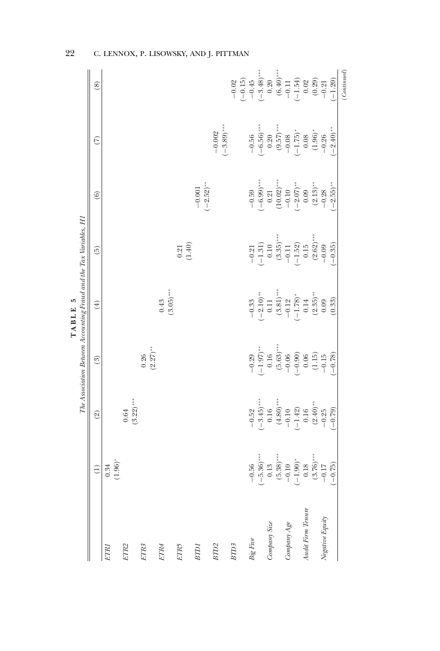|                              | $\widehat{\Xi}$                                                                                                            | $\widetilde{2}$                            | (3)                                             | $\left( 4\right)$                                         | $\widetilde{\Theta}$                                      | $\odot$                             | $\widetilde{C}$                                                                                       | $\circledS$                                                             |
|------------------------------|----------------------------------------------------------------------------------------------------------------------------|--------------------------------------------|-------------------------------------------------|-----------------------------------------------------------|-----------------------------------------------------------|-------------------------------------|-------------------------------------------------------------------------------------------------------|-------------------------------------------------------------------------|
|                              | $0.34$<br>(1.96)*                                                                                                          |                                            |                                                 |                                                           |                                                           |                                     |                                                                                                       |                                                                         |
|                              |                                                                                                                            | $(3.22)$ ***<br>$\,0.64$                   |                                                 |                                                           |                                                           |                                     |                                                                                                       |                                                                         |
|                              |                                                                                                                            |                                            | $(2.27)$ **<br>0.26                             |                                                           |                                                           |                                     |                                                                                                       |                                                                         |
|                              |                                                                                                                            |                                            |                                                 | $(3.05)$ ***<br>0.43                                      |                                                           |                                     |                                                                                                       |                                                                         |
|                              |                                                                                                                            |                                            |                                                 |                                                           | (1.40)<br>0.21                                            |                                     |                                                                                                       |                                                                         |
|                              |                                                                                                                            |                                            |                                                 |                                                           |                                                           | $-0.001$<br>$(-2.52)$ **            |                                                                                                       |                                                                         |
|                              |                                                                                                                            |                                            |                                                 |                                                           |                                                           |                                     | $(-3.89)$ ***<br>$-0.002$                                                                             |                                                                         |
|                              |                                                                                                                            |                                            |                                                 |                                                           |                                                           |                                     |                                                                                                       | $-0.02$                                                                 |
| $\label{eq:2.1} Big \, Five$ |                                                                                                                            | $-0.52$                                    |                                                 | $-0.33$                                                   |                                                           | $-0.59$                             |                                                                                                       | $(-0.15)$<br>$-0.45$                                                    |
|                              |                                                                                                                            | $(-3.45)$ **                               | $\begin{array}{r} -0.29 \\ (-1.97) \end{array}$ |                                                           | $\frac{-0.21}{(-1.31)}$<br>0.10                           |                                     |                                                                                                       | $-3.48$ <sup>***</sup>                                                  |
| Company Size                 | $\begin{array}{r} -0.56 \\ -0.56) \\ 0.13 \\ 0.13 \\ (5.38) \\ -0.10 \\ (-1.90) \\ 0.18 \\ (3.76) \\ -0.17 \\ \end{array}$ | $(4.80)$ ***<br>0.16                       | $(5.63)$ ***                                    | $(3.81)^{***}$<br>$(-2.10)$ **<br>0.11                    | $(3.35)$ $^{\ast\ast}$                                    | $(-6.99)$ ***<br>0.21<br>(10.02)*** | $\begin{array}{r} -0.56 \\ (-6.56)^{***} \\ 0.20 \\ (9.57)^{***} \\ -0.08 \\ (-1.75)^{*} \end{array}$ | $0.20\,$                                                                |
| $Company \, Age$             |                                                                                                                            | $-0.10$                                    | $-0.06$                                         |                                                           |                                                           | $-0.10$<br>$(-2.07)$ **             |                                                                                                       |                                                                         |
|                              |                                                                                                                            | $\begin{array}{c}(-1.42)\\0.16\end{array}$ | $(-0.90)$                                       |                                                           |                                                           |                                     |                                                                                                       |                                                                         |
| Audit Firm Tenure            |                                                                                                                            |                                            | $0.06\,$                                        | $-0.12$<br>$(-1.78)$ *<br>$0.14$<br>$(2.35)$ **<br>$0.09$ | $-0.11$<br>$(-1.52)$<br>$0.15$<br>$(2.62)$ ***<br>$-0.09$ | $0.09$<br>$(2.13)$ **<br>$-0.28$    | $\begin{array}{c} 0.08 \\ (1.96)^* \\ -0.26 \end{array}$                                              | $(6.40)$ ***<br>$-0.11$<br>$(-1.54)$<br>$(0.02)$<br>$(0.29)$<br>$-0.21$ |
| Negative Equity              |                                                                                                                            | $(2.40)^{\ast\ast}$<br>$-0.25$             | $\begin{array}{c} (1.15) \\ -0.15 \end{array}$  |                                                           |                                                           |                                     |                                                                                                       |                                                                         |
|                              | $(-0.75)$                                                                                                                  | $(-0.79)$                                  | $(-0.78)$                                       | (0.33)                                                    | $-0.35$                                                   | $-2.55$ <sup>**</sup>               | $-2.40$ <sup>**</sup>                                                                                 | $(-1.20)$                                                               |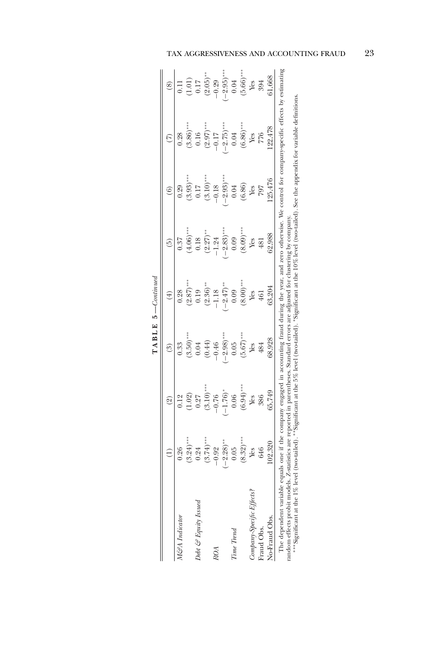|                                                                                                                                                     |              | $\circledcirc$                                                                                                                            | ව                                           | $(\pm)$                 | $\widehat{5}$        | $\widehat{\mathbf{e}}$    | $\widehat{C}$                                                                                                                                                                       | $\circledS$                                   |
|-----------------------------------------------------------------------------------------------------------------------------------------------------|--------------|-------------------------------------------------------------------------------------------------------------------------------------------|---------------------------------------------|-------------------------|----------------------|---------------------------|-------------------------------------------------------------------------------------------------------------------------------------------------------------------------------------|-----------------------------------------------|
| M&A Indicator                                                                                                                                       | 0.26         |                                                                                                                                           | 0.33                                        | 0.28                    | 0.37                 | 0.29                      | 0.28                                                                                                                                                                                | $\overline{0.11}$                             |
|                                                                                                                                                     | $(3.24)$ **  | $\begin{array}{c} 0.12 \\ -0.02 \\ 0.27 \end{array}$                                                                                      | $(3.50)$ **                                 | $(2.87)$ ***            | $(4.06)$ ***         | $(3.93)$ **               | $(3.86)$ ***                                                                                                                                                                        |                                               |
| Debt & Equity Issued                                                                                                                                | 0.24         |                                                                                                                                           | 0.04                                        | 0.19                    | 0.18                 | 0.17                      | 0.16                                                                                                                                                                                | $\begin{array}{c} (1.01) \\ 0.17 \end{array}$ |
|                                                                                                                                                     | $(3.74)$ *** | $(3.10)$ **<br>-0.76                                                                                                                      | (0.44)                                      | $(2.36)$ **             |                      | $(3.10)$ ***              | $(2.97)***$<br>-0.17                                                                                                                                                                | $(2.05)$ **<br>-0.29                          |
| ROA                                                                                                                                                 | $-0.92$      |                                                                                                                                           | $-0.46$                                     | $-1.18$                 | $(2.27)$ **<br>-1.24 | $-0.18$                   |                                                                                                                                                                                     |                                               |
|                                                                                                                                                     | $-2.28$ )**  | $(-1.76)*$<br>0.06                                                                                                                        | $\frac{-2.98)}{}$                           | $(-2.47)$ $^{\ast\ast}$ | $(-2.83)***$         | $\frac{-2.93)***}{+5.25}$ | $(-2.75)$ ***                                                                                                                                                                       | $\frac{-2.95}{3}$                             |
| Time Trend                                                                                                                                          | 0.05         |                                                                                                                                           | 0.05                                        | 0.09                    | 0.09                 | 0.04                      | 0.04                                                                                                                                                                                | 0.04                                          |
|                                                                                                                                                     | $(8.32)$ **  | $(6.94)$ ***                                                                                                                              | $(5.67)$ $\phantom{000}^{\ast\ast\ast}$ Yes | $(8.00)$ ***            | $(8.09)$ ***         | $(6.86)$                  | $(6.86)$ ***                                                                                                                                                                        | $(5.66)***$                                   |
| Company-Specific Effects?                                                                                                                           | Yes          | Yes                                                                                                                                       |                                             | Yes                     | Yes                  | Yes                       | Yes                                                                                                                                                                                 | Yes                                           |
| Fraud Obs.                                                                                                                                          | 646          | 386                                                                                                                                       | 484                                         | 461                     | 481                  | 797                       | 776                                                                                                                                                                                 | 394                                           |
| No-Fraud Obs.                                                                                                                                       | 02,320       | 65,749                                                                                                                                    | 68,928                                      | 63,204                  | 62,988               | .25,476                   | 22,478                                                                                                                                                                              | 61,668                                        |
| The dependent variable equals one if the company engaged in accounting traud<br>random effects probit models. Z-<br>*** Significant at the 1% level | two-tailed   | statistics are reported in parentheses. Standard errors are adjusted for clustering by company<br>ignificant at the 5% level (two-tailed) |                                             |                         |                      |                           | during the year, and zero otherwise. We control for company-specific effects by estimating<br>Sugnificant at the 10% level (two-tailed). See the appendix for variable definitions. |                                               |

| הנ           |  |
|--------------|--|
| Ξ<br>ᆜ       |  |
| $\mathbf{r}$ |  |
| ⋖            |  |
| Н            |  |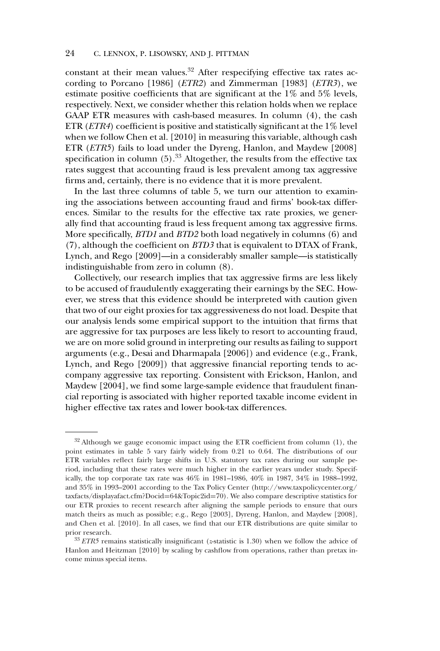constant at their mean values. $32$  After respecifying effective tax rates according to Porcano [1986] (*ETR2*) and Zimmerman [1983] (*ETR3*), we estimate positive coefficients that are significant at the 1% and 5% levels, respectively. Next, we consider whether this relation holds when we replace GAAP ETR measures with cash-based measures. In column (4), the cash ETR (*ETR4*) coefficient is positive and statistically significant at the 1% level when we follow Chen et al. [2010] in measuring this variable, although cash ETR (*ETR5*) fails to load under the Dyreng, Hanlon, and Maydew [2008] specification in column  $(5)$ .<sup>33</sup> Altogether, the results from the effective tax rates suggest that accounting fraud is less prevalent among tax aggressive firms and, certainly, there is no evidence that it is more prevalent.

In the last three columns of table 5, we turn our attention to examining the associations between accounting fraud and firms' book-tax differences. Similar to the results for the effective tax rate proxies, we generally find that accounting fraud is less frequent among tax aggressive firms. More specifically, *BTD1* and *BTD2* both load negatively in columns (6) and (7), although the coefficient on *BTD3* that is equivalent to DTAX of Frank, Lynch, and Rego [2009]—in a considerably smaller sample—is statistically indistinguishable from zero in column (8).

Collectively, our research implies that tax aggressive firms are less likely to be accused of fraudulently exaggerating their earnings by the SEC. However, we stress that this evidence should be interpreted with caution given that two of our eight proxies for tax aggressiveness do not load. Despite that our analysis lends some empirical support to the intuition that firms that are aggressive for tax purposes are less likely to resort to accounting fraud, we are on more solid ground in interpreting our results as failing to support arguments (e.g., Desai and Dharmapala [2006]) and evidence (e.g., Frank, Lynch, and Rego [2009]) that aggressive financial reporting tends to accompany aggressive tax reporting. Consistent with Erickson, Hanlon, and Maydew [2004], we find some large-sample evidence that fraudulent financial reporting is associated with higher reported taxable income evident in higher effective tax rates and lower book-tax differences.

 $32$  Although we gauge economic impact using the ETR coefficient from column (1), the point estimates in table 5 vary fairly widely from 0.21 to 0.64. The distributions of our ETR variables reflect fairly large shifts in U.S. statutory tax rates during our sample period, including that these rates were much higher in the earlier years under study. Specifically, the top corporate tax rate was 46% in 1981–1986, 40% in 1987, 34% in 1988–1992, and 35% in 1993–2001 according to the Tax Policy Center (http://www.taxpolicycenter.org/ taxfacts/displayafact.cfm?Docid=64&Topic2id=70). We also compare descriptive statistics for our ETR proxies to recent research after aligning the sample periods to ensure that ours match theirs as much as possible; e.g., Rego [2003], Dyreng, Hanlon, and Maydew [2008], and Chen et al. [2010]. In all cases, we find that our ETR distributions are quite similar to prior research.

<sup>33</sup> *ETR5* remains statistically insignificant (*z*-statistic is 1.30) when we follow the advice of Hanlon and Heitzman [2010] by scaling by cashflow from operations, rather than pretax income minus special items.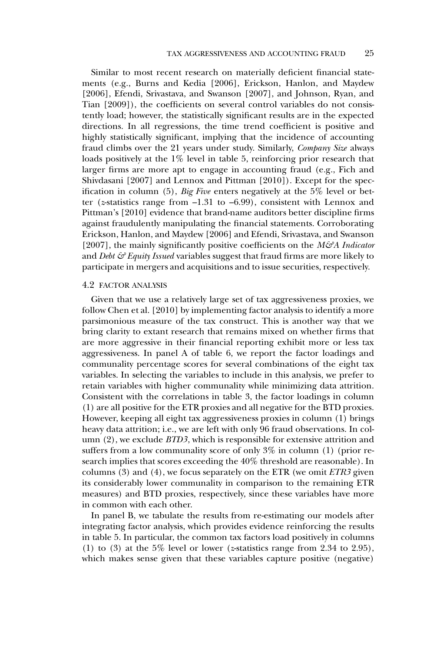Similar to most recent research on materially deficient financial statements (e.g., Burns and Kedia [2006], Erickson, Hanlon, and Maydew [2006], Efendi, Srivastava, and Swanson [2007], and Johnson, Ryan, and Tian [2009]), the coefficients on several control variables do not consistently load; however, the statistically significant results are in the expected directions. In all regressions, the time trend coefficient is positive and highly statistically significant, implying that the incidence of accounting fraud climbs over the 21 years under study. Similarly, *Company Size* always loads positively at the  $1\%$  level in table 5, reinforcing prior research that larger firms are more apt to engage in accounting fraud (e.g., Fich and Shivdasani [2007] and Lennox and Pittman [2010]). Except for the specification in column (5), *Big Five* enters negatively at the 5% level or better (*z*-statistics range from –1.31 to –6.99), consistent with Lennox and Pittman's [2010] evidence that brand-name auditors better discipline firms against fraudulently manipulating the financial statements. Corroborating Erickson, Hanlon, and Maydew [2006] and Efendi, Srivastava, and Swanson [2007], the mainly significantly positive coefficients on the *M&A Indicator* and *Debt & Equity Issued* variables suggest that fraud firms are more likely to participate in mergers and acquisitions and to issue securities, respectively.

#### 4.2 FACTOR ANALYSIS

Given that we use a relatively large set of tax aggressiveness proxies, we follow Chen et al. [2010] by implementing factor analysis to identify a more parsimonious measure of the tax construct. This is another way that we bring clarity to extant research that remains mixed on whether firms that are more aggressive in their financial reporting exhibit more or less tax aggressiveness. In panel A of table 6, we report the factor loadings and communality percentage scores for several combinations of the eight tax variables. In selecting the variables to include in this analysis, we prefer to retain variables with higher communality while minimizing data attrition. Consistent with the correlations in table 3, the factor loadings in column (1) are all positive for the ETR proxies and all negative for the BTD proxies. However, keeping all eight tax aggressiveness proxies in column (1) brings heavy data attrition; i.e., we are left with only 96 fraud observations. In column (2), we exclude *BTD3*, which is responsible for extensive attrition and suffers from a low communality score of only 3% in column (1) (prior research implies that scores exceeding the 40% threshold are reasonable). In columns (3) and (4), we focus separately on the ETR (we omit *ETR3* given its considerably lower communality in comparison to the remaining ETR measures) and BTD proxies, respectively, since these variables have more in common with each other.

In panel B, we tabulate the results from re-estimating our models after integrating factor analysis, which provides evidence reinforcing the results in table 5. In particular, the common tax factors load positively in columns (1) to (3) at the 5% level or lower (*z*-statistics range from 2.34 to 2.95), which makes sense given that these variables capture positive (negative)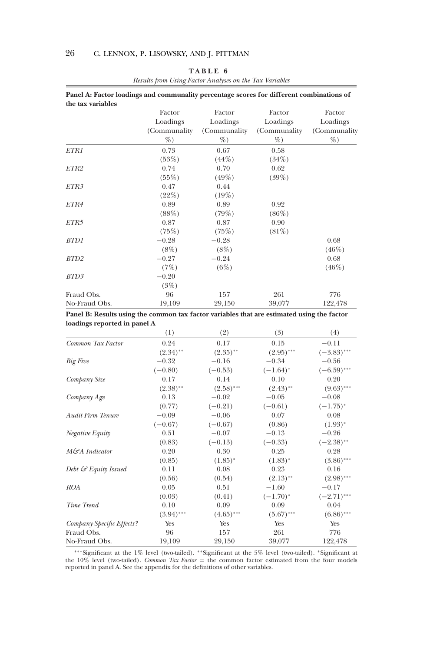| Panel A: Factor loadings and communality percentage scores for different combinations of |              |               |               |              |
|------------------------------------------------------------------------------------------|--------------|---------------|---------------|--------------|
| the tax variables                                                                        |              |               |               |              |
|                                                                                          | Factor       | Factor        | Factor        | Factor       |
|                                                                                          | Loadings     | Loadings      | Loadings      | Loadings     |
|                                                                                          | (Communality | (Communality) | (Communality) | (Communality |
|                                                                                          | %            | %             | %             | %            |
| ETR1                                                                                     | 0.73         | 0.67          | 0.58          |              |
|                                                                                          | (53%)        | $(44\%)$      | (34%)         |              |
| ETR2                                                                                     | 0.74         | 0.70          | 0.62          |              |
|                                                                                          | $(55\%)$     | $(49\%)$      | (39%)         |              |
| ETR3                                                                                     | 0.47         | 0.44          |               |              |
|                                                                                          | (22%)        | (19%)         |               |              |
| ETR4                                                                                     | 0.89         | 0.89          | 0.92          |              |
|                                                                                          | (88%)        | (79%)         | $(86\%)$      |              |
| ETR5                                                                                     | 0.87         | 0.87          | 0.90          |              |
|                                                                                          | (75%)        | (75%)         | $(81\%)$      |              |
| BTD1                                                                                     | $-0.28$      | $-0.28$       |               | 0.68         |
|                                                                                          | $(8\%)$      | (8%)          |               | (46%)        |
| BTD <sub>2</sub>                                                                         | $-0.27$      | $-0.24$       |               | 0.68         |
|                                                                                          | (7%)         | (6%)          |               | (46%)        |
| BTD3                                                                                     | $-0.20$      |               |               |              |
|                                                                                          | (3%)         |               |               |              |
| Fraud Obs.                                                                               | 96           | 157           | 261           | 776          |
| No-Fraud Obs.                                                                            | 19,109       | 29,150        | 39,077        | 122,478      |
|                                                                                          |              |               |               |              |

# **TABLE 6**

*Results from Using Factor Analyses on the Tax Variables*

**Panel B: Results using the common tax factor variables that are estimated using the factor loadings reported in panel A**

|                                  | (1)          | (2)          | (3)          | (4)           |
|----------------------------------|--------------|--------------|--------------|---------------|
| Common Tax Factor                | 0.24         | 0.17         | 0.15         | $-0.11$       |
|                                  | $(2.34)$ **  | $(2.35)$ **  | $(2.95)$ *** | $(-3.83)$ *** |
| <b>Big Five</b>                  | $-0.32$      | $-0.16$      | $-0.34$      | $-0.56$       |
|                                  | $(-0.80)$    | $(-0.53)$    | $(-1.64)^*$  | $(-6.59)$ *** |
| Company Size                     | 0.17         | 0.14         | 0.10         | 0.20          |
|                                  | $(2.38)$ **  | $(2.58)$ *** | $(2.43)$ **  | $(9.63)$ ***  |
| Company Age                      | 0.13         | $-0.02$      | $-0.05$      | $-0.08$       |
|                                  | (0.77)       | $(-0.21)$    | $(-0.61)$    | $(-1.75)^{*}$ |
| <b>Audit Firm Tenure</b>         | $-0.09$      | $-0.06$      | 0.07         | 0.08          |
|                                  | $(-0.67)$    | $(-0.67)$    | (0.86)       | $(1.93)^{*}$  |
| Negative Equity                  | 0.51         | $-0.07$      | $-0.13$      | $-0.26$       |
|                                  | (0.83)       | $(-0.13)$    | $(-0.33)$    | $(-2.38)$ **  |
| M&A Indicator                    | 0.20         | 0.30         | 0.25         | 0.28          |
|                                  | (0.85)       | $(1.85)^*$   | $(1.83)^{*}$ | $(3.86)$ ***  |
| Debt $\mathcal{C}$ Equity Issued | 0.11         | 0.08         | 0.23         | 0.16          |
|                                  | (0.56)       | (0.54)       | $(2.13)$ **  | $(2.98)$ ***  |
| ROA                              | 0.05         | 0.51         | $-1.60$      | $-0.17$       |
|                                  | (0.03)       | (0.41)       | $(-1.70)^*$  | $(-2.71)$ *** |
| Time Trend                       | 0.10         | 0.09         | 0.09         | 0.04          |
|                                  | $(3.94)$ *** | $(4.65)$ *** | $(5.67)$ *** | $(6.86)$ ***  |
| Company-Specific Effects?        | Yes          | Yes          | Yes          | Yes           |
| Fraud Obs.                       | 96           | 157          | 261          | 776           |
| No-Fraud Obs.                    | 19,109       | 29,150       | 39,077       | 122,478       |

\*\*\*Significant at the 1% level (two-tailed). \*\*Significant at the 5% level (two-tailed). \*Significant at the 10% level (two-tailed). *Common Tax Factor* = the common factor estimated from the four models reported in panel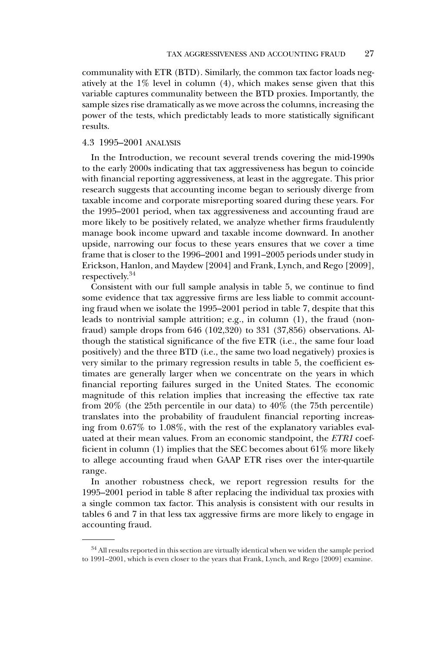communality with ETR (BTD). Similarly, the common tax factor loads negatively at the 1% level in column (4), which makes sense given that this variable captures communality between the BTD proxies. Importantly, the sample sizes rise dramatically as we move across the columns, increasing the power of the tests, which predictably leads to more statistically significant results.

## 4.3 1995–2001 ANALYSIS

In the Introduction, we recount several trends covering the mid-1990s to the early 2000s indicating that tax aggressiveness has begun to coincide with financial reporting aggressiveness, at least in the aggregate. This prior research suggests that accounting income began to seriously diverge from taxable income and corporate misreporting soared during these years. For the 1995–2001 period, when tax aggressiveness and accounting fraud are more likely to be positively related, we analyze whether firms fraudulently manage book income upward and taxable income downward. In another upside, narrowing our focus to these years ensures that we cover a time frame that is closer to the 1996–2001 and 1991–2005 periods under study in Erickson, Hanlon, and Maydew [2004] and Frank, Lynch, and Rego [2009], respectively.<sup>34</sup>

Consistent with our full sample analysis in table 5, we continue to find some evidence that tax aggressive firms are less liable to commit accounting fraud when we isolate the 1995–2001 period in table 7, despite that this leads to nontrivial sample attrition; e.g., in column (1), the fraud (nonfraud) sample drops from 646 (102,320) to 331 (37,856) observations. Although the statistical significance of the five ETR (i.e., the same four load positively) and the three BTD (i.e., the same two load negatively) proxies is very similar to the primary regression results in table 5, the coefficient estimates are generally larger when we concentrate on the years in which financial reporting failures surged in the United States. The economic magnitude of this relation implies that increasing the effective tax rate from 20% (the 25th percentile in our data) to 40% (the 75th percentile) translates into the probability of fraudulent financial reporting increasing from 0.67% to 1.08%, with the rest of the explanatory variables evaluated at their mean values. From an economic standpoint, the *ETR1* coefficient in column (1) implies that the SEC becomes about 61% more likely to allege accounting fraud when GAAP ETR rises over the inter-quartile range.

In another robustness check, we report regression results for the 1995–2001 period in table 8 after replacing the individual tax proxies with a single common tax factor. This analysis is consistent with our results in tables 6 and 7 in that less tax aggressive firms are more likely to engage in accounting fraud.

 $^{34}$  All results reported in this section are virtually identical when we widen the sample period to 1991–2001, which is even closer to the years that Frank, Lynch, and Rego [2009] examine.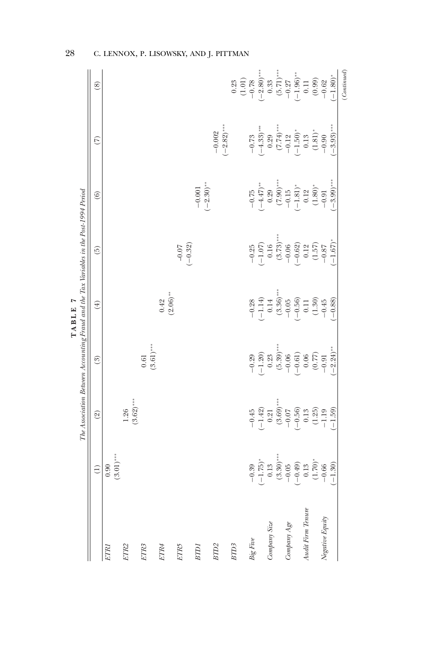|                                                                                                                 | $\circledS$                   |              |                      |                          |                     |                      |                          |                           | $\begin{array}{c} 0.23 \\ (1.01) \\ -0.78 \end{array}$ |                                | $-2.80$ )***                   | $\begin{array}{c} 0.33 \\ (5.71)^{***} \\ -0.27 \\ (-1.96)^{**} \\ 0.11 \\ (0.99) \end{array}$                                                         |                        |                                                          |           |                            |        | $-0.62$         | $-1.80$ <sup>*</sup>   | (Continued) |
|-----------------------------------------------------------------------------------------------------------------|-------------------------------|--------------|----------------------|--------------------------|---------------------|----------------------|--------------------------|---------------------------|--------------------------------------------------------|--------------------------------|--------------------------------|--------------------------------------------------------------------------------------------------------------------------------------------------------|------------------------|----------------------------------------------------------|-----------|----------------------------|--------|-----------------|------------------------|-------------|
|                                                                                                                 | $\widehat{C}$                 |              |                      |                          |                     |                      |                          | $(-2.82)$ ***<br>$-0.002$ |                                                        |                                |                                | $\begin{array}{c} -0.73 \\ (-4.33) \ast \ast \ast \\ 0.29 \\ (7.74) \ast \ast \\ (7.12) \\ -0.12 \\ (1.50) \ast \\ (1.81) \ast \end{array}$            |                        |                                                          |           |                            |        | $-0.90$         | $-3.93$ <sup>***</sup> |             |
|                                                                                                                 | $\odot$                       |              |                      |                          |                     |                      | $(-2.30)$ **<br>$-0.001$ |                           |                                                        |                                |                                | $\begin{array}{c} -0.75 \\ (-4.47)^\ast \\ 0.29 \\ 0.20 \\ (7.90)^\ast \\ -0.15 \\ (-1.81)^\ast \\ 0.12 \\ -0.12 \\ (-1.80)^\ast \\ -0.01 \end{array}$ |                        |                                                          |           |                            |        |                 | $-3.99$ <sup>***</sup> |             |
|                                                                                                                 | $\widetilde{\Theta}$          |              |                      |                          |                     | $(-0.32)$<br>$-0.07$ |                          |                           |                                                        |                                |                                | $-0.25$<br>$-1.07$<br>0.16<br>0.16<br>0.37<br>0.32<br>0.37<br>$-0.687$<br>0.87                                                                         |                        |                                                          |           |                            |        |                 | $-1.67$                |             |
| The Association Between Accounting Fraud and the Tax Variables in the Post-1994 Period<br>$\mathbf{r}$<br>TABLE | $(\pm)$                       |              |                      |                          | $(2.06)$ **<br>0.42 |                      |                          |                           |                                                        |                                | $-0.28$<br>$(-1.14)$<br>$0.14$ |                                                                                                                                                        |                        | $(3.36)$ ***<br>-0.05<br>-0.56)<br>-0.51<br>0.11<br>0.45 |           |                            |        |                 | $(-0.88)$              |             |
|                                                                                                                 | (3)                           |              |                      | $(3.61)$ ***<br>$\!0.61$ |                     |                      |                          |                           |                                                        | $-0.29$                        |                                | $\begin{array}{c}(-1.20)\\0.23\end{array}$                                                                                                             | $(5.39)$ ***           | $-0.06$                                                  |           | $(-0.61) \\ 0.06 \\ 0.77)$ |        | $-0.91$         | $-2.24$ <sup>**</sup>  |             |
|                                                                                                                 | $\textcircled{\scriptsize 2}$ |              | $(3.62)$ ***<br>1.26 |                          |                     |                      |                          |                           |                                                        | $-0.45$                        | $(-1.42)$                      | $\rm 0.21$                                                                                                                                             | $^{(3.69)***}_{-0.07}$ |                                                          | $(-0.56)$ | $\rm 0.13$                 | (1.25) | $-1.19$         | $(-1.59)$              |             |
|                                                                                                                 | $\widehat{\Xi}$               | $(3.01)$ *** |                      |                          |                     |                      |                          |                           |                                                        | 39<br>$\overline{\phantom{0}}$ |                                | $(-1.75)$<br>$0.13$<br>$(3.30)$<br>$-0.05$<br>$(-0.49)$<br>$(-0.13)$<br>$(-0.13)$<br>$(1.70)$                                                          |                        |                                                          |           |                            |        | .66             | $(-1.30)$              |             |
|                                                                                                                 |                               | ETRI         | ETR <sub>2</sub>     | ETR <sub>3</sub>         | ETR4                | ETR5                 | BTDI                     | $B\overline{ID2}$         | BTD3                                                   | $\it{Big~Five}$                |                                | Company Size                                                                                                                                           |                        | $Company \; Age$                                         |           | Audit Firm Tenure          |        | Negative Equity |                        |             |

28 C. LENNOX, P. LISOWSKY, AND J. PITTMAN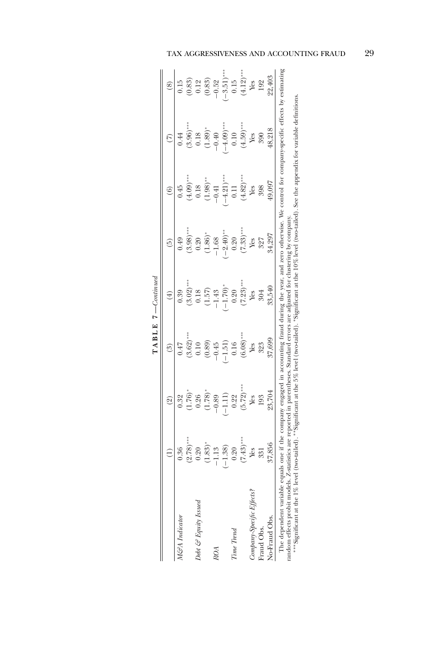|                                                                                                    | $\bigoplus$                                      | $\circledcirc$                                                                                | $\binom{3}{2}$                                             | $(\pm)$                                                        | $\widetilde{5}$                                                | $\odot$                                                                 | $\widehat{(\zeta)}$                                                                                           | $\circledS$                                                       |
|----------------------------------------------------------------------------------------------------|--------------------------------------------------|-----------------------------------------------------------------------------------------------|------------------------------------------------------------|----------------------------------------------------------------|----------------------------------------------------------------|-------------------------------------------------------------------------|---------------------------------------------------------------------------------------------------------------|-------------------------------------------------------------------|
| M&A Indicator                                                                                      | 0.36                                             | 0.32                                                                                          | 747                                                        | 0.39                                                           | 0.49                                                           | 0.45                                                                    | $0.44\,$                                                                                                      | 0.15                                                              |
|                                                                                                    | $(2.78)$ **                                      |                                                                                               |                                                            | $(3.02)$ ***                                                   |                                                                |                                                                         | $(3.96)$ ***                                                                                                  |                                                                   |
| Debt & Equity Issued                                                                               |                                                  |                                                                                               | $^{*8.62}_{0.10}$                                          |                                                                |                                                                |                                                                         |                                                                                                               |                                                                   |
|                                                                                                    | $\frac{0.20}{(1.83)}$                            |                                                                                               |                                                            | 0.18<br>$(1.57)$<br>$-1.43$<br>$(-1.70)^*$                     | $(3.98)$ <sup>***</sup><br>0.20<br>0.20<br>(1.86) <sup>*</sup> | $(4.09)$ ***<br>0.18<br>0.18<br>$(1.98)$ **<br>$-0.41$<br>$(-4.21)$ *** | $\begin{array}{c} 0.18 \\ (1.89)^* \\ -0.40 \end{array}$                                                      | $\begin{array}{c} (0.83) \\ 0.12 \\ (0.83) \\ -0.52 \end{array}$  |
| ROA                                                                                                | $-1.13$                                          |                                                                                               | $(0.89)$<br>-0.45                                          |                                                                |                                                                |                                                                         |                                                                                                               |                                                                   |
|                                                                                                    | $(-1.38)$                                        |                                                                                               | $(-1.51)$                                                  |                                                                | $-2.40$ <sup>**</sup>                                          |                                                                         | $(-4.09)$ ***                                                                                                 |                                                                   |
| Time Trend                                                                                         | 0.20                                             |                                                                                               | $0.16\,$                                                   |                                                                |                                                                | $0.11$                                                                  | 0.10                                                                                                          |                                                                   |
|                                                                                                    | $(7.43)$ ***                                     | $(1.76)^{*}$<br>$0.26$<br>$0.26$<br>$-0.89$<br>$-0.89$<br>$-1.11$<br>$0.22$<br>$0.572$<br>Wes | $(6.08)$ $\phantom{000}^{\ast\ast\ast}$ Yes                | $0.20$<br>(7.23)***<br>Yes                                     | $0.20$<br>(7.33)***<br>Yes                                     | $(4.82)***$ Yes                                                         | $(4.59)$ ***<br>Yes<br>990                                                                                    | $\begin{array}{c} (-3.51)$ ***<br>0.15<br>(4.12)***<br>Yes<br>Yes |
| Company-Specific Effects?                                                                          | Yes                                              |                                                                                               |                                                            |                                                                |                                                                |                                                                         |                                                                                                               |                                                                   |
| Fraud Obs.                                                                                         | 331                                              | 193                                                                                           | 323                                                        | 304                                                            | 327                                                            | 398                                                                     |                                                                                                               |                                                                   |
| No-Fraud Obs.                                                                                      | 37,856                                           | 23,704                                                                                        | 37,699                                                     | 33,540                                                         | 34,297                                                         | 49,097                                                                  | 48,218                                                                                                        | 22,403                                                            |
| The dependent variable equa<br>random effects probit models. Z-<br>*** Significant at the 1% level | us one if the<br>stausucs are 1<br>$two$ -tailed | pany engaged in accounting frauc                                                              | the 5% level (two-tailed)<br>n parentheses. Standard error | rs are adjusted for clustering by compan<br>Significant at the | turing the year, and zero otherwise. We control for            |                                                                         | company-specific effects by estimating<br>$\%$ level (two-tailed). See the appendix for variable definitions. |                                                                   |

| j                  |  |
|--------------------|--|
| ı                  |  |
| 덜<br>ı             |  |
| ≃                  |  |
| $\vdots$<br>T<br>۹ |  |
| ä                  |  |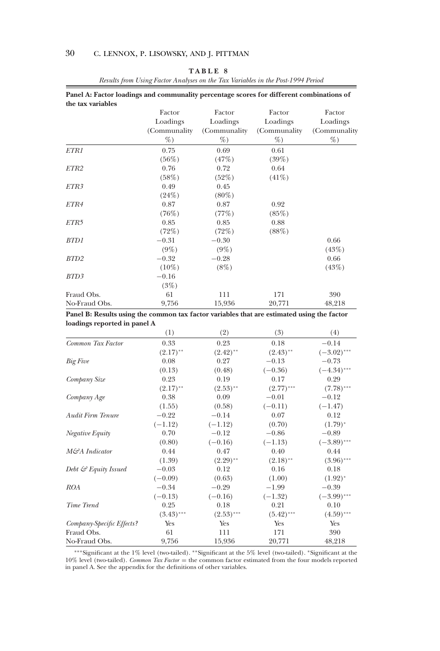|  | n |  |  |
|--|---|--|--|
|--|---|--|--|

| Panel A: Factor loadings and communality percentage scores for different combinations of |                           |                           |                           |                          |
|------------------------------------------------------------------------------------------|---------------------------|---------------------------|---------------------------|--------------------------|
| the tax variables                                                                        | Factor                    | Factor                    | Factor                    | Factor                   |
|                                                                                          | Loadings<br>(Communality) | Loadings<br>(Communality) | Loadings<br>(Communality) | Loadings<br>(Communality |
|                                                                                          | %                         | %                         | %                         | %                        |
| ETR1                                                                                     | 0.75<br>$(56\%)$          | 0.69<br>(47%)             | 0.61<br>$(39\%)$          |                          |
| ETR2                                                                                     | 0.76<br>(58%)             | 0.72<br>(52%)             | 0.64<br>$(41\%)$          |                          |
| ETR3                                                                                     | 0.49                      | 0.45                      |                           |                          |
| ETR4                                                                                     | (24%)<br>0.87             | $(80\%)$<br>0.87          | 0.92                      |                          |
| ETR5                                                                                     | (76%)<br>0.85             | (77%)<br>0.85             | (85%)<br>0.88             |                          |
| BTD1                                                                                     | (72%)<br>$-0.31$          | (72%)<br>$-0.30$          | (88%)                     | 0.66                     |
| BTD <sub>2</sub>                                                                         | $(9\%)$<br>$-0.32$        | $(9\%)$<br>$-0.28$        |                           | (43%)<br>0.66            |
| BTD3                                                                                     | $(10\%)$<br>$-0.16$       | $(8\%)$                   |                           | (43%)                    |
|                                                                                          | (3%)                      |                           |                           |                          |
| Fraud Obs.<br>No-Fraud Obs.                                                              | 61<br>9,756               | 111<br>15,936             | 171<br>20,771             | 390<br>48,218            |

*Results from Using Factor Analyses on the Tax Variables in the Post-1994 Period*

**Panel B: Results using the common tax factor variables that are estimated using the factor loadings reported in panel A**

|                                  | (1)          | (2)          | (3)          | (4)           |
|----------------------------------|--------------|--------------|--------------|---------------|
| Common Tax Factor                | 0.33         | 0.23         | 0.18         | $-0.14$       |
|                                  | $(2.17)$ **  | $(2.42)$ **  | $(2.43)$ **  | $(-3.02)$ *** |
| <b>Big Five</b>                  | 0.08         | 0.27         | $-0.13$      | $-0.73$       |
|                                  | (0.13)       | (0.48)       | $(-0.36)$    | $(-4.34)$ *** |
| Company Size                     | 0.23         | 0.19         | 0.17         | 0.29          |
|                                  | $(2.17)$ **  | $(2.53)$ **  | $(2.77)$ *** | $(7.78)$ ***  |
| Company Age                      | 0.38         | 0.09         | $-0.01$      | $-0.12$       |
|                                  | (1.55)       | (0.58)       | $(-0.11)$    | $(-1.47)$     |
| <b>Audit Firm Tenure</b>         | $-0.22$      | $-0.14$      | 0.07         | 0.12          |
|                                  | $(-1.12)$    | $(-1.12)$    | (0.70)       | $(1.79)^{*}$  |
| Negative Equity                  | 0.70         | $-0.12$      | $-0.86$      | $-0.89$       |
|                                  | (0.80)       | $(-0.16)$    | $(-1.13)$    | $(-3.89)$ *** |
| M&A Indicator                    | 0.44         | 0.47         | 0.40         | 0.44          |
|                                  | (1.39)       | $(2.29)$ **  | $(2.18)$ **  | $(3.96)$ ***  |
| Debt $\mathcal{C}$ Equity Issued | $-0.03$      | 0.12         | 0.16         | 0.18          |
|                                  | $(-0.09)$    | (0.63)       | (1.00)       | $(1.92)^{*}$  |
| ROA                              | $-0.34$      | $-0.29$      | $-1.99$      | $-0.39$       |
|                                  | $(-0.13)$    | $(-0.16)$    | $(-1.32)$    | $(-3.99)$ *** |
| Time Trend                       | 0.25         | 0.18         | 0.21         | 0.10          |
|                                  | $(3.43)$ *** | $(2.53)$ *** | $(5.42)$ *** | $(4.59)$ ***  |
| Company-Specific Effects?        | Yes          | Yes          | Yes          | Yes           |
| Fraud Obs.                       | 61           | 111          | 171          | 390           |
| No-Fraud Obs.                    | 9,756        | 15,936       | 20,771       | 48,218        |

∗∗∗Significant at the 1% level (two-tailed). ∗∗Significant at the 5% level (two-tailed). ∗Significant at the 10% level (two-tailed). *Common Tax Factor* = the common factor estimated from the four models reported in panel A. See the appendix for the definitions of other variables.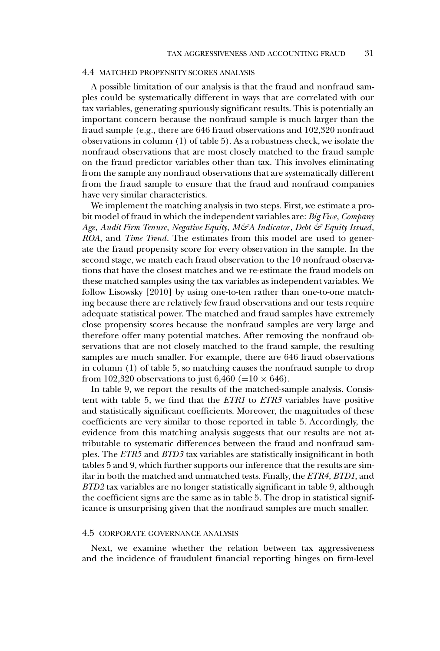## 4.4 MATCHED PROPENSITY SCORES ANALYSIS

A possible limitation of our analysis is that the fraud and nonfraud samples could be systematically different in ways that are correlated with our tax variables, generating spuriously significant results. This is potentially an important concern because the nonfraud sample is much larger than the fraud sample (e.g., there are 646 fraud observations and 102,320 nonfraud observations in column (1) of table 5). As a robustness check, we isolate the nonfraud observations that are most closely matched to the fraud sample on the fraud predictor variables other than tax. This involves eliminating from the sample any nonfraud observations that are systematically different from the fraud sample to ensure that the fraud and nonfraud companies have very similar characteristics.

We implement the matching analysis in two steps. First, we estimate a probit model of fraud in which the independent variables are: *Big Five*, *Company Age*, *Audit Firm Tenure*, *Negative Equity*, *M&A Indicator*, *Debt & Equity Issued*, *ROA*, and *Time Trend*. The estimates from this model are used to generate the fraud propensity score for every observation in the sample. In the second stage, we match each fraud observation to the 10 nonfraud observations that have the closest matches and we re-estimate the fraud models on these matched samples using the tax variables as independent variables. We follow Lisowsky [2010] by using one-to-ten rather than one-to-one matching because there are relatively few fraud observations and our tests require adequate statistical power. The matched and fraud samples have extremely close propensity scores because the nonfraud samples are very large and therefore offer many potential matches. After removing the nonfraud observations that are not closely matched to the fraud sample, the resulting samples are much smaller. For example, there are 646 fraud observations in column (1) of table 5, so matching causes the nonfraud sample to drop from 102,320 observations to just 6,460 (=10  $\times$  646).

In table 9, we report the results of the matched-sample analysis. Consistent with table 5, we find that the *ETR1* to *ETR3* variables have positive and statistically significant coefficients. Moreover, the magnitudes of these coefficients are very similar to those reported in table 5. Accordingly, the evidence from this matching analysis suggests that our results are not attributable to systematic differences between the fraud and nonfraud samples. The *ETR5* and *BTD3* tax variables are statistically insignificant in both tables 5 and 9, which further supports our inference that the results are similar in both the matched and unmatched tests. Finally, the *ETR4*, *BTD1*, and *BTD2* tax variables are no longer statistically significant in table 9, although the coefficient signs are the same as in table 5. The drop in statistical significance is unsurprising given that the nonfraud samples are much smaller.

#### 4.5 CORPORATE GOVERNANCE ANALYSIS

Next, we examine whether the relation between tax aggressiveness and the incidence of fraudulent financial reporting hinges on firm-level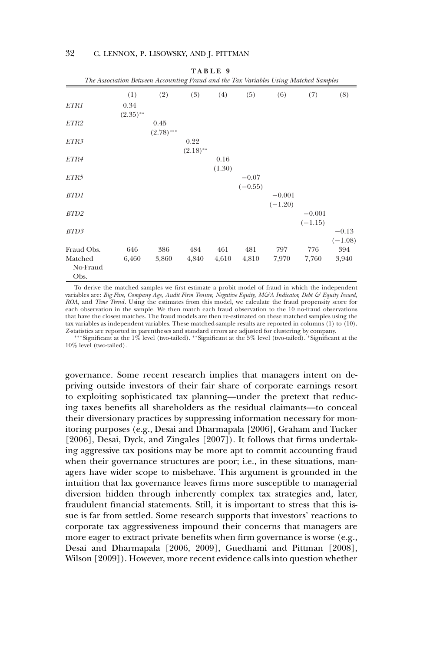|                             | The Association Between Accounting Fraud and the Tax Variables Using Matched Samples |                      |                     |                |                      |                       |                       |                      |
|-----------------------------|--------------------------------------------------------------------------------------|----------------------|---------------------|----------------|----------------------|-----------------------|-----------------------|----------------------|
|                             | (1)                                                                                  | (2)                  | (3)                 | (4)            | (5)                  | (6)                   | (7)                   | (8)                  |
| ETR1                        | 0.34<br>$(2.35)$ **                                                                  |                      |                     |                |                      |                       |                       |                      |
| ETR2                        |                                                                                      | 0.45<br>$(2.78)$ *** |                     |                |                      |                       |                       |                      |
| ETR3                        |                                                                                      |                      | 0.22<br>$(2.18)$ ** |                |                      |                       |                       |                      |
| ETR4                        |                                                                                      |                      |                     | 0.16<br>(1.30) |                      |                       |                       |                      |
| ETR5                        |                                                                                      |                      |                     |                | $-0.07$<br>$(-0.55)$ |                       |                       |                      |
| BTD1                        |                                                                                      |                      |                     |                |                      | $-0.001$<br>$(-1.20)$ |                       |                      |
| BTD <sub>2</sub>            |                                                                                      |                      |                     |                |                      |                       | $-0.001$<br>$(-1.15)$ |                      |
| BTD3                        |                                                                                      |                      |                     |                |                      |                       |                       | $-0.13$<br>$(-1.08)$ |
| Fraud Obs.                  | 646                                                                                  | 386                  | 484                 | 461            | 481                  | 797                   | 776                   | 394                  |
| Matched<br>No-Fraud<br>Obs. | 6,460                                                                                | 3,860                | 4,840               | 4,610          | 4,810                | 7,970                 | 7,760                 | 3,940                |

**TABLE 9**

To derive the matched samples we first estimate a probit model of fraud in which the independent variables are: *Big Five, Company Age, Audit Firm Tenure, Negative Equity, M&A Indicator, Debt & Equity Issued, ROA,* and *Time Trend*. Using the estimates from this model, we calculate the fraud propensity score for each observation in the sample. We then match each fraud observation to the 10 no-fraud observations that have the closest matches. The fraud models are then re-estimated on these matched samples using the tax variables as independent variables. These matched-sample results are reported in columns (1) to (10). *Z*-statistics are reported in parentheses and standard errors are adjusted for clustering by company.

∗∗∗Significant at the 1% level (two-tailed). ∗∗Significant at the 5% level (two-tailed). ∗Significant at the 10% level (two-tailed).

governance. Some recent research implies that managers intent on depriving outside investors of their fair share of corporate earnings resort to exploiting sophisticated tax planning—under the pretext that reducing taxes benefits all shareholders as the residual claimants—to conceal their diversionary practices by suppressing information necessary for monitoring purposes (e.g., Desai and Dharmapala [2006], Graham and Tucker [2006], Desai, Dyck, and Zingales [2007]). It follows that firms undertaking aggressive tax positions may be more apt to commit accounting fraud when their governance structures are poor; i.e., in these situations, managers have wider scope to misbehave. This argument is grounded in the intuition that lax governance leaves firms more susceptible to managerial diversion hidden through inherently complex tax strategies and, later, fraudulent financial statements. Still, it is important to stress that this issue is far from settled. Some research supports that investors' reactions to corporate tax aggressiveness impound their concerns that managers are more eager to extract private benefits when firm governance is worse (e.g., Desai and Dharmapala [2006, 2009], Guedhami and Pittman [2008], Wilson [2009]). However, more recent evidence calls into question whether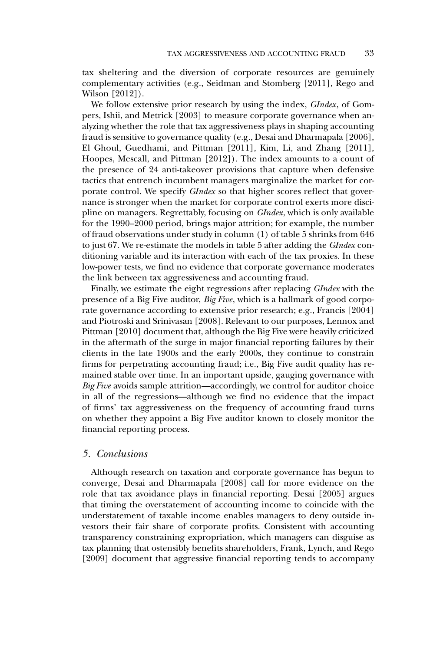tax sheltering and the diversion of corporate resources are genuinely complementary activities (e.g., Seidman and Stomberg [2011], Rego and Wilson [2012]).

We follow extensive prior research by using the index, *GIndex*, of Gompers, Ishii, and Metrick [2003] to measure corporate governance when analyzing whether the role that tax aggressiveness plays in shaping accounting fraud is sensitive to governance quality (e.g., Desai and Dharmapala [2006], El Ghoul, Guedhami, and Pittman [2011], Kim, Li, and Zhang [2011], Hoopes, Mescall, and Pittman [2012]). The index amounts to a count of the presence of 24 anti-takeover provisions that capture when defensive tactics that entrench incumbent managers marginalize the market for corporate control. We specify *GIndex* so that higher scores reflect that governance is stronger when the market for corporate control exerts more discipline on managers. Regrettably, focusing on *GIndex*, which is only available for the 1990–2000 period, brings major attrition; for example, the number of fraud observations under study in column (1) of table 5 shrinks from 646 to just 67. We re-estimate the models in table 5 after adding the *GIndex* conditioning variable and its interaction with each of the tax proxies. In these low-power tests, we find no evidence that corporate governance moderates the link between tax aggressiveness and accounting fraud.

Finally, we estimate the eight regressions after replacing *GIndex* with the presence of a Big Five auditor, *Big Five*, which is a hallmark of good corporate governance according to extensive prior research; e.g., Francis [2004] and Piotroski and Srinivasan [2008]. Relevant to our purposes, Lennox and Pittman [2010] document that, although the Big Five were heavily criticized in the aftermath of the surge in major financial reporting failures by their clients in the late 1900s and the early 2000s, they continue to constrain firms for perpetrating accounting fraud; i.e., Big Five audit quality has remained stable over time. In an important upside, gauging governance with *Big Five* avoids sample attrition—accordingly, we control for auditor choice in all of the regressions—although we find no evidence that the impact of firms' tax aggressiveness on the frequency of accounting fraud turns on whether they appoint a Big Five auditor known to closely monitor the financial reporting process.

#### *5. Conclusions*

Although research on taxation and corporate governance has begun to converge, Desai and Dharmapala [2008] call for more evidence on the role that tax avoidance plays in financial reporting. Desai [2005] argues that timing the overstatement of accounting income to coincide with the understatement of taxable income enables managers to deny outside investors their fair share of corporate profits. Consistent with accounting transparency constraining expropriation, which managers can disguise as tax planning that ostensibly benefits shareholders, Frank, Lynch, and Rego [2009] document that aggressive financial reporting tends to accompany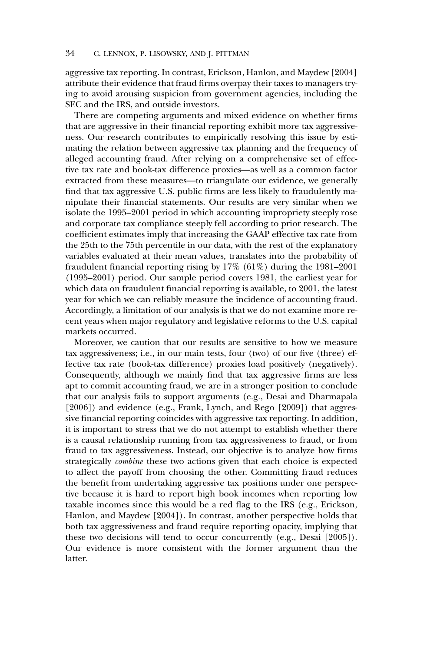aggressive tax reporting. In contrast, Erickson, Hanlon, and Maydew [2004] attribute their evidence that fraud firms overpay their taxes to managers trying to avoid arousing suspicion from government agencies, including the SEC and the IRS, and outside investors.

There are competing arguments and mixed evidence on whether firms that are aggressive in their financial reporting exhibit more tax aggressiveness. Our research contributes to empirically resolving this issue by estimating the relation between aggressive tax planning and the frequency of alleged accounting fraud. After relying on a comprehensive set of effective tax rate and book-tax difference proxies—as well as a common factor extracted from these measures—to triangulate our evidence, we generally find that tax aggressive U.S. public firms are less likely to fraudulently manipulate their financial statements. Our results are very similar when we isolate the 1995–2001 period in which accounting impropriety steeply rose and corporate tax compliance steeply fell according to prior research. The coefficient estimates imply that increasing the GAAP effective tax rate from the 25th to the 75th percentile in our data, with the rest of the explanatory variables evaluated at their mean values, translates into the probability of fraudulent financial reporting rising by 17% (61%) during the 1981–2001 (1995–2001) period. Our sample period covers 1981, the earliest year for which data on fraudulent financial reporting is available, to 2001, the latest year for which we can reliably measure the incidence of accounting fraud. Accordingly, a limitation of our analysis is that we do not examine more recent years when major regulatory and legislative reforms to the U.S. capital markets occurred.

Moreover, we caution that our results are sensitive to how we measure tax aggressiveness; i.e., in our main tests, four (two) of our five (three) effective tax rate (book-tax difference) proxies load positively (negatively). Consequently, although we mainly find that tax aggressive firms are less apt to commit accounting fraud, we are in a stronger position to conclude that our analysis fails to support arguments (e.g., Desai and Dharmapala [2006]) and evidence (e.g., Frank, Lynch, and Rego [2009]) that aggressive financial reporting coincides with aggressive tax reporting. In addition, it is important to stress that we do not attempt to establish whether there is a causal relationship running from tax aggressiveness to fraud, or from fraud to tax aggressiveness. Instead, our objective is to analyze how firms strategically *combine* these two actions given that each choice is expected to affect the payoff from choosing the other. Committing fraud reduces the benefit from undertaking aggressive tax positions under one perspective because it is hard to report high book incomes when reporting low taxable incomes since this would be a red flag to the IRS (e.g., Erickson, Hanlon, and Maydew [2004]). In contrast, another perspective holds that both tax aggressiveness and fraud require reporting opacity, implying that these two decisions will tend to occur concurrently (e.g., Desai [2005]). Our evidence is more consistent with the former argument than the latter.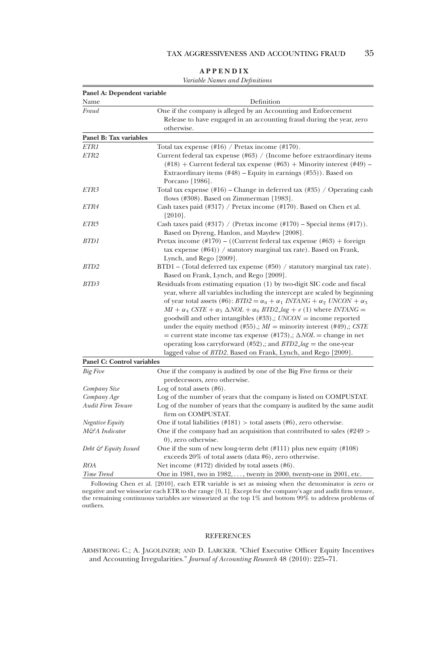|                                   | <i>variable values and Definitions</i>                                                                                                                                                                                                                             |
|-----------------------------------|--------------------------------------------------------------------------------------------------------------------------------------------------------------------------------------------------------------------------------------------------------------------|
| Panel A: Dependent variable       |                                                                                                                                                                                                                                                                    |
| Name                              | Definition                                                                                                                                                                                                                                                         |
| Fraud                             | One if the company is alleged by an Accounting and Enforcement                                                                                                                                                                                                     |
|                                   | Release to have engaged in an accounting fraud during the year, zero                                                                                                                                                                                               |
|                                   | otherwise.                                                                                                                                                                                                                                                         |
| Panel B: Tax variables            |                                                                                                                                                                                                                                                                    |
| ETR1                              | Total tax expense $(\#16)$ / Pretax income $(\#170)$ .                                                                                                                                                                                                             |
| ETR2                              | Current federal tax expense $(\text{\#}63)$ / (Income before extraordinary items                                                                                                                                                                                   |
|                                   | $(\text{\#18})$ + Current federal tax expense (#63) + Minority interest (#49) –                                                                                                                                                                                    |
|                                   | Extraordinary items $(\#48)$ – Equity in earnings $(\#55)$ ). Based on                                                                                                                                                                                             |
|                                   | Porcano [1986].                                                                                                                                                                                                                                                    |
| ETR3                              | Total tax expense $(\#16)$ – Change in deferred tax $(\#35)$ / Operating cash<br>flows (#308). Based on Zimmerman [1983].                                                                                                                                          |
| ETR4                              | Cash taxes paid $(\#317)$ / Pretax income $(\#170)$ . Based on Chen et al.                                                                                                                                                                                         |
|                                   | $[2010]$ .                                                                                                                                                                                                                                                         |
| ETR5                              | Cash taxes paid (#317) / (Pretax income $(\text{\#170})$ – Special items (#17)).                                                                                                                                                                                   |
|                                   | Based on Dyreng, Hanlon, and Maydew [2008].                                                                                                                                                                                                                        |
| BTD 1                             | Pretax income $(\text{\#}170)$ – ((Current federal tax expense $(\text{\#}63)$ ) + foreign                                                                                                                                                                         |
|                                   | tax expense $(\#64)$ ) / statutory marginal tax rate). Based on Frank,                                                                                                                                                                                             |
|                                   | Lynch, and Rego [2009].                                                                                                                                                                                                                                            |
| BTD2                              | $BTDI - (Total deferred tax expense (#50) / statutory marginal tax rate).$                                                                                                                                                                                         |
|                                   | Based on Frank, Lynch, and Rego [2009].                                                                                                                                                                                                                            |
| BTD3                              | Residuals from estimating equation (1) by two-digit SIC code and fiscal<br>year, where all variables including the intercept are scaled by beginning<br>of year total assets (#6): $BTD2 = \alpha_0 + \alpha_1 \text{ INTANG} + \alpha_2 \text{ UNCON} + \alpha_3$ |
|                                   | $MI + \alpha_4 \text{ CSTE} + \alpha_5 \Delta NOL + \alpha_6 \text{ BTD2} \text{Lag} + e (1)$ where INTANG =                                                                                                                                                       |
|                                   | goodwill and other intangibles $(\#33)$ ,; $UNCON = income reported$                                                                                                                                                                                               |
|                                   | under the equity method (#55),; $MI =$ minority interest (#49),; CSTE                                                                                                                                                                                              |
|                                   | = current state income tax expense $(\text{\#}173)$ ; $\Delta NOL$ = change in net                                                                                                                                                                                 |
|                                   | operating loss carryforward $(\#52)$ ,; and <i>BTD2_lag</i> = the one-year                                                                                                                                                                                         |
|                                   | lagged value of BTD2. Based on Frank, Lynch, and Rego [2009].                                                                                                                                                                                                      |
| <b>Panel C: Control variables</b> |                                                                                                                                                                                                                                                                    |
| Big Five                          | One if the company is audited by one of the Big Five firms or their                                                                                                                                                                                                |
|                                   | predecessors, zero otherwise.                                                                                                                                                                                                                                      |
| Company Size                      | Log of total assets $(\#6)$ .                                                                                                                                                                                                                                      |
| Company Age                       | Log of the number of years that the company is listed on COMPUSTAT.                                                                                                                                                                                                |
| Audit Firm Tenure                 | Log of the number of years that the company is audited by the same audit<br>firm on COMPUSTAT.                                                                                                                                                                     |
| Negative Equity                   | One if total liabilities $(\text{\#181})$ > total assets $(\text{\#6})$ , zero otherwise.                                                                                                                                                                          |
| M&A Indicator                     | One if the company had an acquisition that contributed to sales (#249 ><br>0), zero otherwise.                                                                                                                                                                     |
| Debt & Equity Issued              | One if the sum of new long-term debt $(\text{\#}111)$ plus new equity $(\text{\#}108)$<br>exceeds $20\%$ of total assets (data #6), zero otherwise.                                                                                                                |
| ROA                               | Net income $(\text{\#172})$ divided by total assets $(\text{\#6})$ .                                                                                                                                                                                               |

| <b>APPENDIX</b> |  |  |
|-----------------|--|--|
|-----------------|--|--|

*Variable Names and Definitions*

Following Chen et al. [2010], each ETR variable is set as missing when the denominator is zero or negative and we winsorize each ETR to the range [0, 1]. Except for the company's age and audit firm tenure, the remaining c outliers.

*Time Trend* One in 1981, two in 1982, ..., twenty in 2000, twenty-one in 2001, etc.

#### REFERENCES

ARMSTRONG C.; A. JAGOLINZER; AND D. LARCKER. "Chief Executive Officer Equity Incentives and Accounting Irregularities." *Journal of Accounting Research* 48 (2010): 225–71.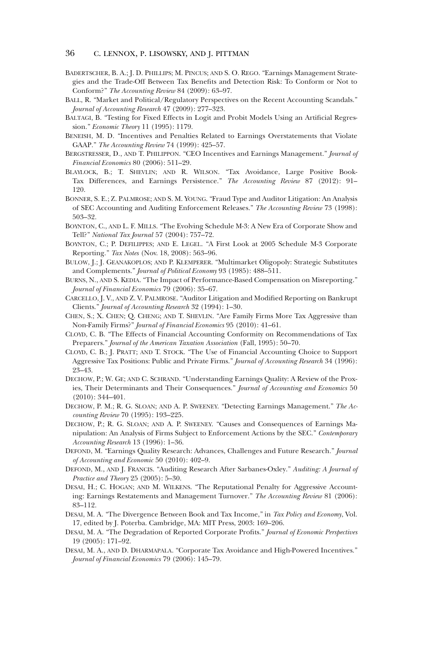- BADERTSCHER, B. A.; J. D. PHILLIPS; M. PINCUS; AND S. O. REGO. "Earnings Management Strategies and the Trade-Off Between Tax Benefits and Detection Risk: To Conform or Not to Conform?" *The Accounting Review* 84 (2009): 63–97.
- BALL, R. "Market and Political/Regulatory Perspectives on the Recent Accounting Scandals." *Journal of Accounting Research* 47 (2009): 277–323.
- BALTAGI, B. "Testing for Fixed Effects in Logit and Probit Models Using an Artificial Regression." *Economic Theory* 11 (1995): 1179.
- BENEISH, M. D. "Incentives and Penalties Related to Earnings Overstatements that Violate GAAP." *The Accounting Review* 74 (1999): 425–57.
- BERGSTRESSER, D., AND T. PHILIPPON. "CEO Incentives and Earnings Management." *Journal of Financial Economics* 80 (2006): 511–29.
- BLAYLOCK, B.; T. SHEVLIN; AND R. WILSON. "Tax Avoidance, Large Positive Book-Tax Differences, and Earnings Persistence." *The Accounting Review* 87 (2012): 91– 120.
- BONNER, S. E.; Z. PALMROSE; AND S. M. YOUNG. "Fraud Type and Auditor Litigation: An Analysis of SEC Accounting and Auditing Enforcement Releases." *The Accounting Review* 73 (1998): 503–32.
- BOYNTON, C., AND L. F. MILLS. "The Evolving Schedule M-3: A New Era of Corporate Show and Tell?" *National Tax Journal* 57 (2004): 757–72.
- BOYNTON, C.; P. DEFILIPPES; AND E. LEGEL. "A First Look at 2005 Schedule M-3 Corporate Reporting." *Tax Notes* (Nov. 18, 2008): 563–96.
- BULOW, J.; J. GEANAKOPLOS; AND P. KLEMPERER. "Multimarket Oligopoly: Strategic Substitutes and Complements." *Journal of Political Economy* 93 (1985): 488–511.
- BURNS, N., AND S. KEDIA. "The Impact of Performance-Based Compensation on Misreporting." *Journal of Financial Economics* 79 (2006): 35–67.
- CARCELLO, J. V., AND Z. V. PALMROSE. "Auditor Litigation and Modified Reporting on Bankrupt Clients." *Journal of Accounting Research* 32 (1994): 1–30.
- CHEN, S.; X. CHEN; Q. CHENG; AND T. SHEVLIN. "Are Family Firms More Tax Aggressive than Non-Family Firms?" *Journal of Financial Economics* 95 (2010): 41–61.
- CLOYD, C. B. "The Effects of Financial Accounting Conformity on Recommendations of Tax Preparers." *Journal of the American Taxation Association* (Fall, 1995): 50–70.
- CLOYD, C. B.; J. PRATT; AND T. STOCK. "The Use of Financial Accounting Choice to Support Aggressive Tax Positions: Public and Private Firms." *Journal of Accounting Research* 34 (1996): 23–43.
- DECHOW, P.; W. GE; AND C. SCHRAND. "Understanding Earnings Quality: A Review of the Proxies, Their Determinants and Their Consequences." *Journal of Accounting and Economics* 50 (2010): 344–401.
- DECHOW, P. M.; R. G. SLOAN; AND A. P. SWEENEY. "Detecting Earnings Management." *The Accounting Review* 70 (1995): 193–225.
- DECHOW, P.; R. G. SLOAN; AND A. P. SWEENEY. "Causes and Consequences of Earnings Manipulation: An Analysis of Firms Subject to Enforcement Actions by the SEC." *Contemporary Accounting Research* 13 (1996): 1–36.
- DEFOND, M. "Earnings Quality Research: Advances, Challenges and Future Research." *Journal of Accounting and Economic* 50 (2010): 402–9.
- DEFOND, M., AND J. FRANCIS. "Auditing Research After Sarbanes-Oxley." *Auditing: A Journal of Practice and Theory* 25 (2005): 5–30.
- DESAI, H.; C. HOGAN; AND M. WILKENS. "The Reputational Penalty for Aggressive Accounting: Earnings Restatements and Management Turnover." *The Accounting Review* 81 (2006): 83–112.
- DESAI, M. A. "The Divergence Between Book and Tax Income," in *Tax Policy and Economy*, Vol. 17, edited by J. Poterba. Cambridge, MA: MIT Press, 2003: 169–206.
- DESAI, M. A. "The Degradation of Reported Corporate Profits." *Journal of Economic Perspectives* 19 (2005): 171–92.
- DESAI, M. A., AND D. DHARMAPALA. "Corporate Tax Avoidance and High-Powered Incentives." *Journal of Financial Economics* 79 (2006): 145–79.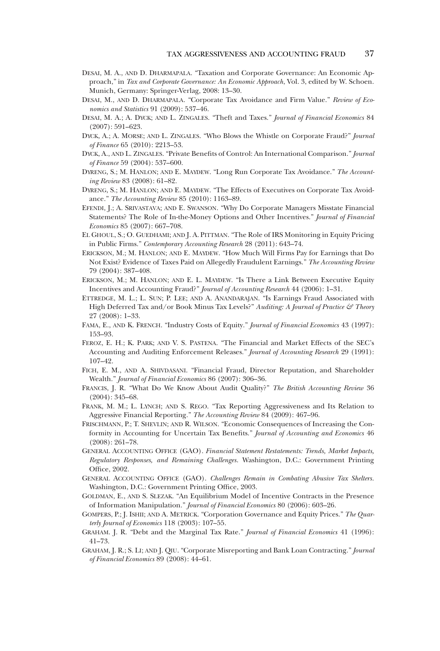- DESAI, M. A., AND D. DHARMAPALA. "Taxation and Corporate Governance: An Economic Approach," in *Tax and Corporate Governance: An Economic Approach*, Vol. 3, edited by W. Schoen. Munich, Germany: Springer-Verlag, 2008: 13–30.
- DESAI, M., AND D. DHARMAPALA. "Corporate Tax Avoidance and Firm Value." *Review of Economics and Statistics* 91 (2009): 537–46.
- DESAI, M. A.; A. DYCK; AND L. ZINGALES. "Theft and Taxes." *Journal of Financial Economics* 84 (2007): 591–623.
- DYCK, A.; A. MORSE; AND L. ZINGALES. "Who Blows the Whistle on Corporate Fraud?" *Journal of Finance* 65 (2010): 2213–53.
- DYCK, A., AND L. ZINGALES. "Private Benefits of Control: An International Comparison." *Journal of Finance* 59 (2004): 537–600.
- DYRENG, S.; M. HANLON; AND E. MAYDEW. "Long Run Corporate Tax Avoidance." *The Accounting Review* 83 (2008): 61–82.
- DYRENG, S.; M. HANLON; AND E. MAYDEW. "The Effects of Executives on Corporate Tax Avoidance." *The Accounting Review* 85 (2010): 1163–89.
- EFENDI, J.; A. SRIVASTAVA; AND E. SWANSON. "Why Do Corporate Managers Misstate Financial Statements? The Role of In-the-Money Options and Other Incentives." *Journal of Financial Economics* 85 (2007): 667–708.
- EL GHOUL, S.; O. GUEDHAMI; AND J. A. PITTMAN. "The Role of IRS Monitoring in Equity Pricing in Public Firms." *Contemporary Accounting Research* 28 (2011): 643–74.
- ERICKSON, M.; M. HANLON; AND E. MAYDEW. "How Much Will Firms Pay for Earnings that Do Not Exist? Evidence of Taxes Paid on Allegedly Fraudulent Earnings." *The Accounting Review* 79 (2004): 387–408.
- ERICKSON, M.; M. HANLON; AND E. L. MAYDEW. "Is There a Link Between Executive Equity Incentives and Accounting Fraud?" *Journal of Accounting Research* 44 (2006): 1–31.
- ETTREDGE, M. L.; L. SUN; P. LEE; AND A. ANANDARAJAN. "Is Earnings Fraud Associated with High Deferred Tax and/or Book Minus Tax Levels?" Auditing: A Journal of Practice & Theory 27 (2008): 1–33.
- FAMA, E., AND K. FRENCH. "Industry Costs of Equity." *Journal of Financial Economics* 43 (1997): 153–93.
- FEROZ, E. H.; K. PARK; AND V. S. PASTENA. "The Financial and Market Effects of the SEC's Accounting and Auditing Enforcement Releases." *Journal of Accounting Research* 29 (1991): 107–42.
- FICH, E. M., AND A. SHIVDASANI. "Financial Fraud, Director Reputation, and Shareholder Wealth." *Journal of Financial Economics* 86 (2007): 306–36.
- FRANCIS, J. R. "What Do We Know About Audit Quality?" *The British Accounting Review* 36 (2004): 345–68.
- FRANK, M. M.; L. LYNCH; AND S. REGO. "Tax Reporting Aggressiveness and Its Relation to Aggressive Financial Reporting." *The Accounting Review* 84 (2009): 467–96.
- FRISCHMANN, P.; T. SHEVLIN; AND R. WILSON. "Economic Consequences of Increasing the Conformity in Accounting for Uncertain Tax Benefits." *Journal of Accounting and Economics* 46 (2008): 261–78.
- GENERAL ACCOUNTING OFFICE (GAO). *Financial Statement Restatements: Trends, Market Impacts, Regulatory Responses, and Remaining Challenges*. Washington, D.C.: Government Printing Office, 2002.
- GENERAL ACCOUNTING OFFICE (GAO). *Challenges Remain in Combating Abusive Tax Shelters*. Washington, D.C.: Government Printing Office, 2003.
- GOLDMAN, E., AND S. SLEZAK. "An Equilibrium Model of Incentive Contracts in the Presence of Information Manipulation." *Journal of Financial Economics* 80 (2006): 603–26.
- GOMPERS, P.; J. ISHII; AND A. METRICK. "Corporation Governance and Equity Prices." *The Quarterly Journal of Economics* 118 (2003): 107–55.
- GRAHAM. J. R. "Debt and the Marginal Tax Rate." *Journal of Financial Economics* 41 (1996): 41–73.
- GRAHAM, J. R.; S. LI; AND J. QIU. "Corporate Misreporting and Bank Loan Contracting." *Journal of Financial Economics* 89 (2008): 44–61.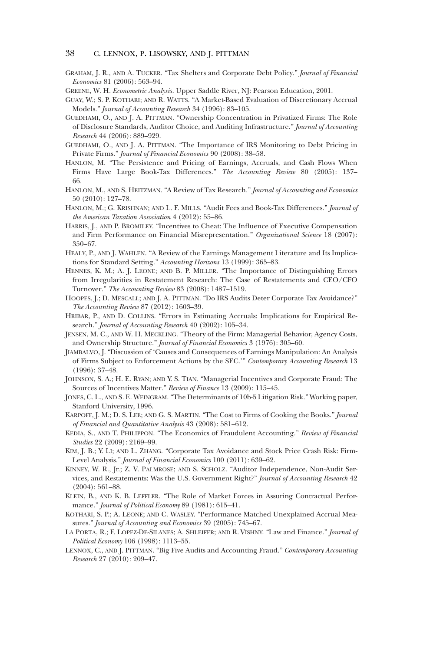- GRAHAM, J. R., AND A. TUCKER. "Tax Shelters and Corporate Debt Policy." *Journal of Financial Economics* 81 (2006): 563–94.
- GREENE, W. H. *Econometric Analysis*. Upper Saddle River, NJ: Pearson Education, 2001.
- GUAY, W.; S. P. KOTHARI; AND R. WATTS. "A Market-Based Evaluation of Discretionary Accrual Models." *Journal of Accounting Research* 34 (1996): 83–105.
- GUEDHAMI, O., AND J. A. PITTMAN. "Ownership Concentration in Privatized Firms: The Role of Disclosure Standards, Auditor Choice, and Auditing Infrastructure." *Journal of Accounting Research* 44 (2006): 889–929.
- GUEDHAMI, O., AND J. A. PITTMAN. "The Importance of IRS Monitoring to Debt Pricing in Private Firms." *Journal of Financial Economics* 90 (2008): 38–58.
- HANLON, M. "The Persistence and Pricing of Earnings, Accruals, and Cash Flows When Firms Have Large Book-Tax Differences." *The Accounting Review* 80 (2005): 137– 66.
- HANLON, M., AND S. HEITZMAN. "A Review of Tax Research." *Journal of Accounting and Economics* 50 (2010): 127–78.
- HANLON, M.; G. KRISHNAN; AND L. F. MILLS. "Audit Fees and Book-Tax Differences." *Journal of the American Taxation Association* 4 (2012): 55–86.
- HARRIS, J., AND P. BROMILEY. "Incentives to Cheat: The Influence of Executive Compensation and Firm Performance on Financial Misrepresentation." *Organizational Science* 18 (2007): 350–67.
- HEALY, P., AND J. WAHLEN. "A Review of the Earnings Management Literature and Its Implications for Standard Setting." *Accounting Horizons* 13 (1999): 365–83.
- HENNES, K. M.; A. J. LEONE; AND B. P. MILLER. "The Importance of Distinguishing Errors from Irregularities in Restatement Research: The Case of Restatements and CEO/CFO Turnover." *The Accounting Review* 83 (2008): 1487–1519.
- HOOPES, J.; D. MESCALL; AND J. A. PITTMAN. "Do IRS Audits Deter Corporate Tax Avoidance?" *The Accounting Review* 87 (2012): 1603–39.
- HRIBAR, P., AND D. COLLINS. "Errors in Estimating Accruals: Implications for Empirical Research." *Journal of Accounting Research* 40 (2002): 105–34.
- JENSEN, M. C., AND W. H. MECKLING. "Theory of the Firm: Managerial Behavior, Agency Costs, and Ownership Structure." *Journal of Financial Economics* 3 (1976): 305–60.
- JIAMBALVO, J. "Discussion of 'Causes and Consequences of Earnings Manipulation: An Analysis of Firms Subject to Enforcement Actions by the SEC.'" *Contemporary Accounting Research* 13 (1996): 37–48.
- JOHNSON, S. A.; H. E. RYAN; AND Y. S. TIAN. "Managerial Incentives and Corporate Fraud: The Sources of Incentives Matter." *Review of Finance* 13 (2009): 115–45.
- JONES, C. L., AND S. E. WEINGRAM. "The Determinants of 10b-5 Litigation Risk." Working paper, Stanford University, 1996.
- KARPOFF, J. M.; D. S. LEE; AND G. S. MARTIN. "The Cost to Firms of Cooking the Books." *Journal of Financial and Quantitative Analysis* 43 (2008): 581–612.
- KEDIA, S., AND T. PHILIPPON. "The Economics of Fraudulent Accounting." *Review of Financial Studies* 22 (2009): 2169–99.
- KIM, J. B.; Y. LI; AND L. ZHANG. "Corporate Tax Avoidance and Stock Price Crash Risk: Firm-Level Analysis." *Journal of Financial Economics* 100 (2011): 639–62.
- KINNEY, W. R., Jr.; Z. V. PALMROSE; AND S. SCHOLZ. "Auditor Independence, Non-Audit Services, and Restatements: Was the U.S. Government Right?" *Journal of Accounting Research* 42 (2004): 561–88.
- KLEIN, B., AND K. B. LEFFLER. "The Role of Market Forces in Assuring Contractual Performance." *Journal of Political Economy* 89 (1981): 615–41.
- KOTHARI, S. P.; A. LEONE; AND C. WASLEY. "Performance Matched Unexplained Accrual Measures." *Journal of Accounting and Economics* 39 (2005): 745–67.
- LA PORTA, R.; F. LOPEZ-DE-SILANES; A. SHLEIFER; AND R. VISHNY. "Law and Finance." *Journal of Political Economy* 106 (1998): 1113–55.
- LENNOX, C., AND J. PITTMAN. "Big Five Audits and Accounting Fraud." *Contemporary Accounting Research* 27 (2010): 209–47.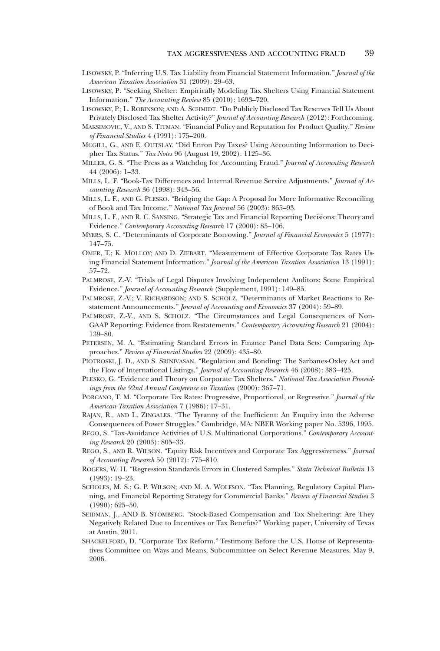- LISOWSKY, P. "Inferring U.S. Tax Liability from Financial Statement Information." *Journal of the American Taxation Association* 31 (2009): 29–63.
- LISOWSKY, P. "Seeking Shelter: Empirically Modeling Tax Shelters Using Financial Statement Information." *The Accounting Review* 85 (2010): 1693–720.
- LISOWSKY, P.; L. ROBINSON; AND A. SCHMIDT. "Do Publicly Disclosed Tax Reserves Tell Us About Privately Disclosed Tax Shelter Activity?" *Journal of Accounting Research* (2012): Forthcoming.
- MAKSIMOVIC, V., AND S. TITMAN. "Financial Policy and Reputation for Product Quality." *Review of Financial Studies* 4 (1991): 175–200.
- MCGILL, G., AND E. OUTSLAY. "Did Enron Pay Taxes? Using Accounting Information to Decipher Tax Status." *Tax Notes* 96 (August 19, 2002): 1125–36.
- MILLER, G. S. "The Press as a Watchdog for Accounting Fraud." *Journal of Accounting Research* 44 (2006): 1–33.
- MILLS, L. F. "Book-Tax Differences and Internal Revenue Service Adjustments." *Journal of Accounting Research* 36 (1998): 343–56.
- MILLS, L. F., AND G. PLESKO. "Bridging the Gap: A Proposal for More Informative Reconciling of Book and Tax Income." *National Tax Journal* 56 (2003): 865–93.
- MILLS, L. F., AND R. C. SANSING. "Strategic Tax and Financial Reporting Decisions: Theory and Evidence." *Contemporary Accounting Research* 17 (2000): 85–106.
- MYERS, S. C. "Determinants of Corporate Borrowing." *Journal of Financial Economics* 5 (1977): 147–75.
- OMER, T.; K. MOLLOY; AND D. ZIEBART. "Measurement of Effective Corporate Tax Rates Using Financial Statement Information." *Journal of the American Taxation Association* 13 (1991): 57–72.
- PALMROSE, Z.-V. "Trials of Legal Disputes Involving Independent Auditors: Some Empirical Evidence." *Journal of Accounting Research* (Supplement, 1991): 149–85.
- PALMROSE, Z.-V.; V. RICHARDSON; AND S. SCHOLZ. "Determinants of Market Reactions to Restatement Announcements." *Journal of Accounting and Economics* 37 (2004): 59–89.
- PALMROSE, Z.-V., AND S. SCHOLZ. "The Circumstances and Legal Consequences of Non-GAAP Reporting: Evidence from Restatements." *Contemporary Accounting Research* 21 (2004): 139–80.
- PETERSEN, M. A. "Estimating Standard Errors in Finance Panel Data Sets: Comparing Approaches." *Review of Financial Studies* 22 (2009): 435–80.
- PIOTROSKI, J. D., AND S. SRINIVASAN. "Regulation and Bonding: The Sarbanes-Oxley Act and the Flow of International Listings." *Journal of Accounting Research* 46 (2008): 383–425.
- PLESKO, G. "Evidence and Theory on Corporate Tax Shelters." *National Tax Association Proceedings from the 92nd Annual Conference on Taxation* (2000): 367–71.
- PORCANO, T. M. "Corporate Tax Rates: Progressive, Proportional, or Regressive." *Journal of the American Taxation Association* 7 (1986): 17–31.
- RAJAN, R., AND L. ZINGALES. "The Tyranny of the Inefficient: An Enquiry into the Adverse Consequences of Power Struggles." Cambridge, MA: NBER Working paper No. 5396, 1995.
- REGO, S. "Tax-Avoidance Activities of U.S. Multinational Corporations." *Contemporary Accounting Research* 20 (2003): 805–33.
- REGO, S., AND R. WILSON. "Equity Risk Incentives and Corporate Tax Aggressiveness." *Journal of Accounting Research* 50 (2012): 775–810.
- ROGERS, W. H. "Regression Standards Errors in Clustered Samples." *Stata Technical Bulletin* 13 (1993): 19–23.
- SCHOLES, M. S.; G. P. WILSON; AND M. A. WOLFSON. "Tax Planning, Regulatory Capital Planning, and Financial Reporting Strategy for Commercial Banks." *Review of Financial Studies* 3 (1990): 625–50.
- SEIDMAN, J., AND B. STOMBERG. "Stock-Based Compensation and Tax Sheltering: Are They Negatively Related Due to Incentives or Tax Benefits?" Working paper, University of Texas at Austin, 2011.
- SHACKELFORD, D. "Corporate Tax Reform." Testimony Before the U.S. House of Representatives Committee on Ways and Means, Subcommittee on Select Revenue Measures. May 9, 2006.